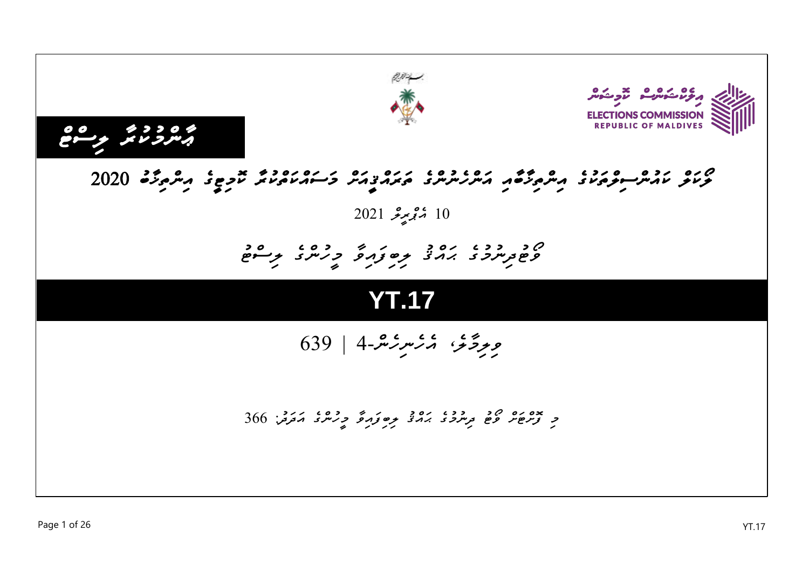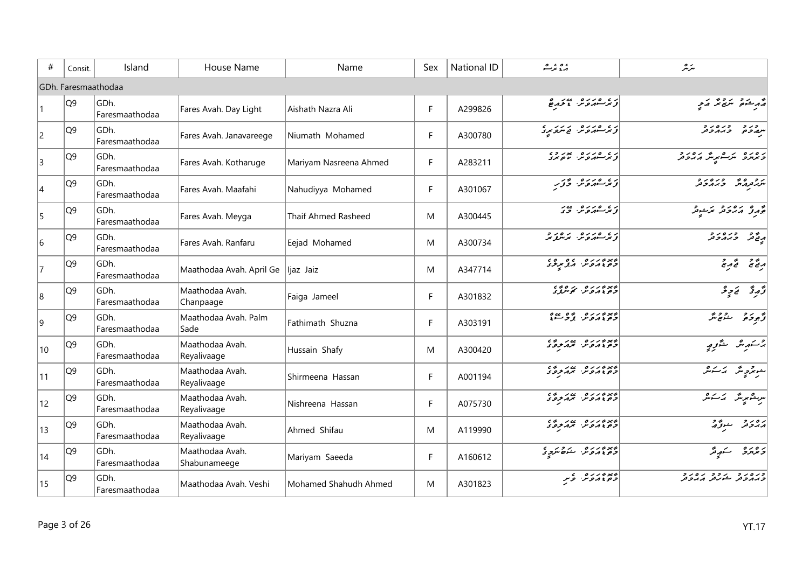| #              | Consit. | Island                            | House Name                      | Name                       | Sex | National ID | ، ه ، ره<br>مره برگ                                                      | يترمثر                                          |
|----------------|---------|-----------------------------------|---------------------------------|----------------------------|-----|-------------|--------------------------------------------------------------------------|-------------------------------------------------|
|                |         | GDh. Faresmaathodaa               |                                 |                            |     |             |                                                                          |                                                 |
|                | Q9      | GD <sub>h</sub><br>Faresmaathodaa | Fares Avah. Day Light           | Aishath Nazra Ali          | F   | A299826     | ر ، ٥ ر ر ٥ ير ٢ ه                                                       | وأمر شكافه التراثير وكالمحر                     |
| $\overline{2}$ | Q9      | GDh.<br>Faresmaathodaa            | Fares Avah. Janavareege         | Niumath Mohamed            | F   | A300780     | ر ، ەرىرە بەرىر ،                                                        |                                                 |
| 3              | Q9      | GDh.<br>Faresmaathodaa            | Fares Avah. Kotharuge           | Mariyam Nasreena Ahmed     | F.  | A283211     | د ، ه د د ه ، پور و ،<br><mark>ز</mark> بر سهرو بر ، بره بر <sub>ک</sub> | ره ره بره په ده د و.<br>و بربرو برگوپرس مهرونر  |
| 4              | Q9      | GDh.<br>Faresmaathodaa            | Fares Avah. Maafahi             | Nahudiyya Mohamed          | F.  | A301067     | ز ، قەرزە، ئەزب                                                          | נכנס כנסיב<br>יינגענית בגנבע                    |
| $\overline{5}$ | Q9      | GDh.<br>Faresmaathodaa            | Fares Avah. Meyga               | <b>Thaif Ahmed Rasheed</b> | M   | A300445     | ر ، ق د ره<br>تو بر سه پرس . و ی                                         | چهرو مهردو ترجوم                                |
| 6              | Q9      | GDh.<br>Faresmaathodaa            | Fares Avah. Ranfaru             | Eejad Mohamed              | M   | A300734     | ر ، ق د د ه .<br>تو بر سهره تر . بر سرتر بر                              | د ده دره د د<br>مقام د بردوند                   |
| $\overline{7}$ | Q9      | GDh.<br>Faresmaathodaa            | Maathodaa Avah. April Ge        | ljaz Jaiz                  | M   | A347714     | שמשממם הם כה<br>כפי ומכתי והציתיכה                                       | أرقح في في                                      |
| 8              | Q9      | GD <sub>h</sub><br>Faresmaathodaa | Maathodaa Avah.<br>Chanpaage    | Faiga Jameel               | F.  | A301832     | پر پر دره.<br>وه د د در کړس و                                            | وٌَمِرَةٌ ۖ يَا وِ وُ                           |
| 9              | Q9      | GDh.<br>Faresmaathodaa            | Maathodaa Avah. Palm<br>Sade    | Fathimath Shuzna           | F   | A303191     |                                                                          | ۇ بۇ ئەھم ئىسى ئىر                              |
| $ 10\rangle$   | Q9      | GD <sub>h</sub><br>Faresmaathodaa | Maathodaa Avah.<br>Reyalivaage  | Hussain Shafy              | M   | A300420     |                                                                          | برستهر شه الشور                                 |
| 11             | Q9      | GDh.<br>Faresmaathodaa            | Maathodaa Avah.<br>Reyalivaage  | Shirmeena Hassan           | F.  | A001194     |                                                                          | جوهرج مكر الكراشكر                              |
| 12             | Q9      | GDh.<br>Faresmaathodaa            | Maathodaa Avah.<br>Reyalivaage  | Nishreena Hassan           | F.  | A075730     |                                                                          | أنربط برنتش الكاسكر                             |
| 13             | Q9      | GDh.<br>Faresmaathodaa            | Maathodaa Avah.<br>Reyalivaage  | Ahmed Shifau               | M   | A119990     |                                                                          | رەر ئىدۇر                                       |
| 14             | Q9      | GD <sub>h</sub><br>Faresmaathodaa | Maathodaa Avah.<br>Shabunameege | Mariyam Saeeda             | F.  | A160612     | ويدورره دروره                                                            | زەرە سەرى                                       |
| 15             | Q9      | GDh.<br>Faresmaathodaa            | Maathodaa Avah. Veshi           | Mohamed Shahudh Ahmed      | M   | A301823     | ويدور ره مي .<br><mark>دي د</mark> دوس وم                                | ورەر د برود رەر د<br><i>دېرم</i> رد شرکر مەردىر |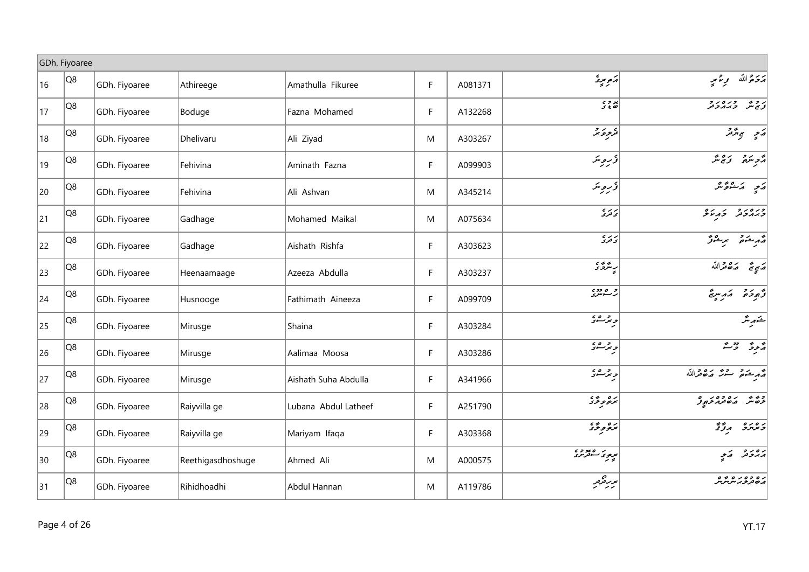|    | GDh. Fiyoaree |               |                   |                      |             |         |                                  |                                     |
|----|---------------|---------------|-------------------|----------------------|-------------|---------|----------------------------------|-------------------------------------|
| 16 | Q8            | GDh. Fiyoaree | Athireege         | Amathulla Fikuree    | F           | A081371 | لهَ حو مبری                      | ترجيح الله وتزميه                   |
| 17 | Q8            | GDh. Fiyoaree | Boduge            | Fazna Mohamed        | F           | A132268 | 550                              | و رە ر د<br>تر پروتر<br>ۇ ئىچ ئىگر  |
| 18 | Q8            | GDh. Fiyoaree | Dhelivaru         | Ali Ziyad            | ${\sf M}$   | A303267 | لخرموحه                          | ړَ په پروگر                         |
| 19 | ∣Q8           | GDh. Fiyoaree | Fehivina          | Aminath Fazna        | $\mathsf F$ | A099903 | ۇروپر                            | مەمەم ئەس                           |
| 20 | Q8            | GDh. Fiyoaree | Fehivina          | Ali Ashvan           | ${\sf M}$   | A345214 | ۇروپر                            | أەيم ئەشقىر                         |
| 21 | Q8            | GDh. Fiyoaree | Gadhage           | Mohamed Maikal       | ${\sf M}$   | A075634 | ر ر ،<br>ک <sup>ه</sup> ری       | כנסנכ בתעל                          |
| 22 | Q8            | GDh. Fiyoaree | Gadhage           | Aishath Rishfa       | F           | A303623 | ر ر بر<br>ک تعرک                 | دگار شکاه کا پرسشوگر                |
| 23 | Q8            | GDh. Fiyoaree | Heenaamaage       | Azeeza Abdulla       | F           | A303237 | ر پوء ۽<br>رس                    | صَبِيءَ صَصْحَراللّه                |
| 24 | Q8            | GDh. Fiyoaree | Husnooge          | Fathimath Aineeza    | F           | A099709 | و مەددى<br>سەمىرى                | توجدة مدسية                         |
| 25 | Q8            | GDh. Fiyoaree | Mirusge           | Shaina               | F           | A303284 | د بر ۵ می                        | ىشىمە ئىگر                          |
| 26 | Q8            | GDh. Fiyoaree | Mirusge           | Aalimaa Moosa        | F           | A303286 | د بر مړي                         | ړځو د ح                             |
| 27 | Q8            | GDh. Fiyoaree | Mirusge           | Aishath Suha Abdulla | F.          | A341966 | د بر ره پ                        | مُ مِّدْمَ حَمَّ مَا صَوْرَ اللَّه  |
| 28 | Q8            | GDh. Fiyoaree | Raiyvilla ge      | Lubana Abdul Latheef | F           | A251790 | ىرە ھەتىي<br>ئىرە ھەتىرى         | و ده که ده وه رو<br>موضی می هم ده د |
| 29 | Q8            | GDh. Fiyoaree | Raiyvilla ge      | Mariyam Ifaqa        | F.          | A303368 | ىرە ھەتتى<br>ئىرقۇمۇتى           | ر ه ر ه<br>تر بر بر<br>ەرىقىتى      |
| 30 | Q8            | GDh. Fiyoaree | Reethigasdhoshuge | Ahmed Ali            | ${\sf M}$   | A000575 | بره د ۱۶ و د د د<br>بره د سه ترس | برور و کرم                          |
| 31 | Q8            | GDh. Fiyoaree | Rihidhoadhi       | Abdul Hannan         | ${\sf M}$   | A119786 | ىررى<br>رىر س                    | ره وه بر ه مره<br>پرچ تربوبر سرس    |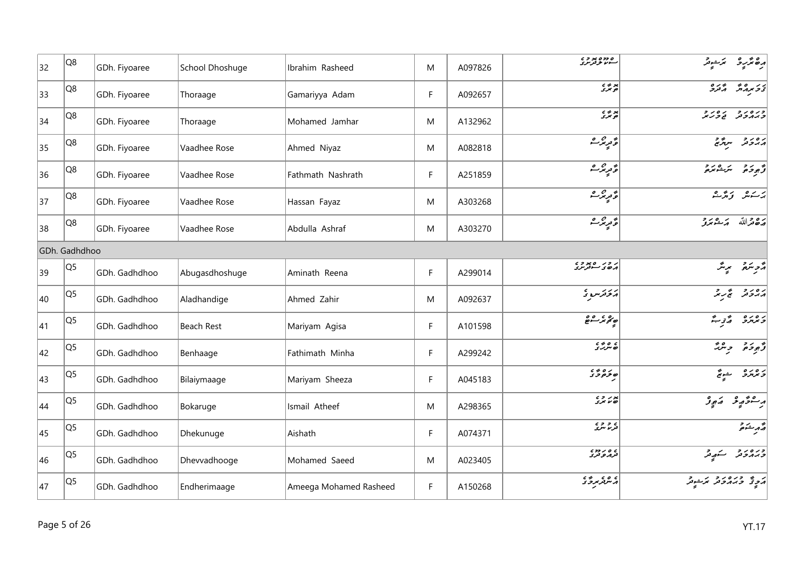| 32 | Q8            | GDh. Fiyoaree | School Dhoshuge   | Ibrahim Rasheed        | M           | A097826 | ه دده بر د ،<br>۱۰۰۰ مرتد ر                      | رە ئۇرۇ بۇشوتر                                 |
|----|---------------|---------------|-------------------|------------------------|-------------|---------|--------------------------------------------------|------------------------------------------------|
| 33 | Q8            | GDh. Fiyoaree | Thoraage          | Gamariyya Adam         | F.          | A092657 | پر پر پر<br>حو پمر پر                            | ترتر وجه وره                                   |
| 34 | Q8            | GDh. Fiyoaree | Thoraage          | Mohamed Jamhar         | M           | A132962 | پر پر پر<br>حو پمر پر                            | ورەرو رەرو<br>جەمەدىر ئے جاسكر                 |
| 35 | Q8            | GDh. Fiyoaree | Vaadhee Rose      | Ahmed Niyaz            | M           | A082818 | ق <sub>ە</sub> مەيدىكە                           | גם ג' בי ייטרים                                |
| 36 | Q8            | GDh. Fiyoaree | Vaadhee Rose      | Fathmath Nashrath      | F.          | A251859 | ۇ م <sub>و</sub> تۇرىئە                          | ه د د شرع د د<br>ترجي د سرعت مرد               |
| 37 | Q8            | GDh. Fiyoaree | Vaadhee Rose      | Hassan Fayaz           | M           | A303268 | ق <sub>ە</sub> مەيدىكە                           | برسەش بۇرۇشە                                   |
| 38 | Q8            | GDh. Fiyoaree | Vaadhee Rose      | Abdulla Ashraf         | M           | A303270 | ۇ مەيرىر مە                                      | رە قراللە كەشىر                                |
|    | GDh. Gadhdhoo |               |                   |                        |             |         |                                                  |                                                |
| 39 | Q5            | GDh. Gadhdhoo | Abugasdhoshuge    | Aminath Reena          | $\mathsf F$ | A299014 | ر ور ۱۵ پر و ۽<br>در <i>ه ي</i> سوتر <i>پر</i> و | أأترجع مريثر                                   |
| 40 | Q5            | GDh. Gadhdhoo | Aladhandige       | Ahmed Zahir            | M           | A092637 | ە ئەقرىس ئ                                       | رەرد ئېرىر                                     |
| 41 | Q5            | GDh. Gadhdhoo | <b>Beach Rest</b> | Mariyam Agisa          | F           | A101598 | ھ گھ مرے ہے                                      | رەرە شىر                                       |
| 42 | Q5            | GDh. Gadhdhoo | Benhaage          | Fathimath Minha        | $\mathsf F$ | A299242 | ې ۵ پرې<br>ح <i>ه مرگ</i> ي                      | وٌجوحَمَ وِسْرَرٌ                              |
| 43 | Q5            | GDh. Gadhdhoo | Bilaiymaage       | Mariyam Sheeza         | F           | A045183 | ر ه و و ،<br>م <i>و و د</i> د                    | د ۱۳۸۶ شوځ                                     |
| 44 | Q5            | GDh. Gadhdhoo | Bokaruge          | Ismail Atheef          | M           | A298365 | پر ر و ،<br>ت <i>ق تو</i> ر                      | بر عرقه قرم و آمرو و                           |
| 45 | Q5            | GDh. Gadhdhoo | Dhekunuge         | Aishath                | F.          | A074371 | ړ د و ،<br>تور سر <sub>ک</sub>                   | و<br>پر کر شوځ                                 |
| 46 | Q5            | GDh. Gadhdhoo | Dhevvadhooge      | Mohamed Saeed          | M           | A023405 | ے ہ ر دو ے<br>توبر و توری                        | ورەرو سەرو                                     |
| 47 | Q5            | GDh. Gadhdhoo | Endherimaage      | Ameega Mohamed Rasheed | $\mathsf F$ | A150268 | <sup>ى</sup> مەقرىر دىمى                         | مَا وَيَدَمُ وَيَدَ اللَّهِ مِنْ وَمِنْ وَمَرْ |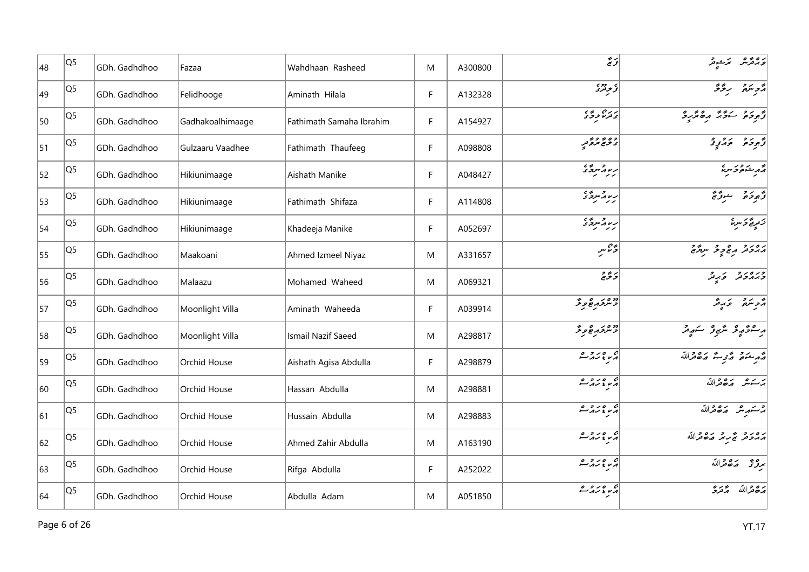| 48 | Q5 | GDh. Gadhdhoo | Fazaa            | Wahdhaan Rasheed         | M           | A300800 | تریخ                                       | ره ده ده سرشوند<br>  در ترس                   |
|----|----|---------------|------------------|--------------------------|-------------|---------|--------------------------------------------|-----------------------------------------------|
| 49 | Q5 | GDh. Gadhdhoo | Felidhooge       | Aminath Hilala           | $\mathsf F$ | A132328 | ې دوي<br>تر موتر د                         | ە ئەر ئىچە بەر ئەنگە                          |
| 50 | Q5 | GDh. Gadhdhoo | Gadhakoalhimaage | Fathimath Samaha Ibrahim | $\mathsf F$ | A154927 | ر رە رە پە<br>ئەترىم بورى                  | ژوده خزنه مورد                                |
| 51 | Q5 | GDh. Gadhdhoo | Gulzaaru Vaadhee | Fathimath Thaufeeg       | $\mathsf F$ | A098808 | و ه و برگ <sup>و</sup> رِ                  | و و د د و د و د                               |
| 52 | Q5 | GDh. Gadhdhoo | Hikiunimaage     | Aishath Manike           | F           | A048427 | ر بى <sub>ر</sub> مەشرىقى<br>بەلەر مەشرىقى | ۇ ئەستەھ 5 سرىئا                              |
| 53 | Q5 | GDh. Gadhdhoo | Hikiunimaage     | Fathimath Shifaza        | $\mathsf F$ | A114808 | رىدە ئىبرىدى<br>بەر                        | أَرْجُوحَ مُ شَوَرٌ جَ                        |
| 54 | Q5 | GDh. Gadhdhoo | Hikiunimaage     | Khadeeja Manike          | F.          | A052697 | ر بى <sub>ر</sub> مەسرىدى<br>بەر بىرىدى    | رَ مِرِ مِحَ حَسِر بِمَ                       |
| 55 | Q5 | GDh. Gadhdhoo | Maakoani         | Ahmed Izmeel Niyaz       | M           | A331657 | اقتفىسر                                    | ورود وجود سر                                  |
| 56 | Q5 | GDh. Gadhdhoo | Malaazu          | Mohamed Waheed           | M           | A069321 | ىر ئۇ ج                                    | ورەرو كەيد                                    |
| 57 | Q5 | GDh. Gadhdhoo | Moonlight Villa  | Aminath Waheeda          | $\mathsf F$ | A039914 | دەمەر ھ <sub>ەم</sub> ۇ                    | مُجِسَعةٍ عَبِيقٌ                             |
| 58 | Q5 | GDh. Gadhdhoo | Moonlight Villa  | Ismail Nazif Saeed       | M           | A298817 | د مر <sub>م</sub> حرم <u>ه</u> و مح        | ىرىشۇم <sub>ۇ</sub> ھەر ئىمرىگە               |
| 59 | Q5 | GDh. Gadhdhoo | Orchid House     | Aishath Agisa Abdulla    | $\mathsf F$ | A298879 | م انگرىي <i>ئەرجى</i><br>م                 | صَّمَرِ شَمَعَهُ صَّتِي بِهُ صَنْعَةَ اللَّهُ |
| 60 | Q5 | GDh. Gadhdhoo | Orchid House     | Hassan Abdulla           | M           | A298881 | ە بەيدى <u> ئەرە</u>                       | برسة محدثة الله                               |
| 61 | Q5 | GDh. Gadhdhoo | Orchid House     | Hussain Abdulla          | M           | A298883 | ې په دې د ه<br>مربو سر                     | برسكر متداركة                                 |
| 62 | Q5 | GDh. Gadhdhoo | Orchid House     | Ahmed Zahir Abdulla      | M           | A163190 | لئەرەبەر ھ                                 | برەرد پەرىز مەھىراللە                         |
| 63 | Q5 | GDh. Gadhdhoo | Orchid House     | Rifga Abdulla            | $\mathsf F$ | A252022 | ا <i>مې د ج</i> رچ شه                      | مروتى صكاة والله                              |
| 64 | Q5 | GDh. Gadhdhoo | Orchid House     | Abdulla Adam             | M           | A051850 | ە بە ئەر مە                                | برە تراللە<br>ەگەترى                          |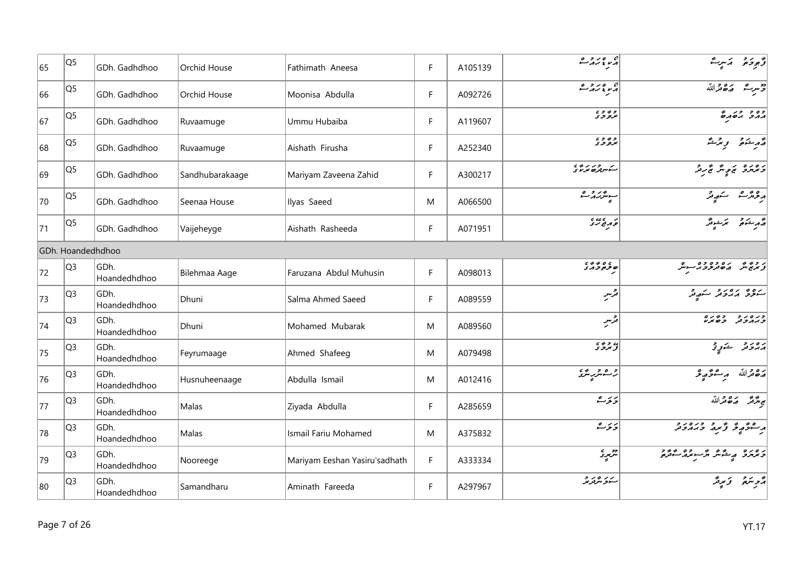| 65 | Q5                | GDh. Gadhdhoo        | Orchid House    | Fathimath Aneesa              | F           | A105139 | ەر بەر ئەرگىسى<br>مەنبەر بەر                       | أوالمحتج والمستنب                                             |
|----|-------------------|----------------------|-----------------|-------------------------------|-------------|---------|----------------------------------------------------|---------------------------------------------------------------|
| 66 | Q5                | GDh. Gadhdhoo        | Orchid House    | Moonisa Abdulla               | $\mathsf F$ | A092726 | لمروية سامره                                       | وصرته مكافرالله                                               |
| 67 | Q5                | GDh. Gadhdhoo        | Ruvaamuge       | Ummu Hubaiba                  | F.          | A119607 | و پر و ،<br>مونو و ی                               | 5.62.702                                                      |
| 68 | Q5                | GDh. Gadhdhoo        | Ruvaamuge       | Aishath Firusha               | F           | A252340 | و پر و ،<br>مونو و ی                               | أقهر منتوقر وترحقه                                            |
| 69 | Q5                | GDh. Gadhdhoo        | Sandhubarakaage | Mariyam Zaveena Zahid         | F           | A300217 | ر در در در در در در در در براس<br>سه سرورت مربر در | ر وره پر پر پر تر                                             |
| 70 | Q5                | GDh. Gadhdhoo        | Seenaa House    | Ilyas Saeed                   | M           | A066500 | سەمئە <i>ر ج</i>                                   | و ديگر شموند                                                  |
| 71 | Q5                | GDh. Gadhdhoo        | Vaijeheyge      | Aishath Rasheeda              | F           | A071951 | ر<br>ح د ق ر د                                     | ر<br>مەركتون ئىركىزىگر                                        |
|    | GDh. Hoandedhdhoo |                      |                 |                               |             |         |                                                    |                                                               |
| 72 | Q3                | GDh.<br>Hoandedhdhoo | Bilehmaa Aage   | Faruzana Abdul Muhusin        | F           | A098013 | ، ه ه ه ه و<br>موجود د                             | ر وه به بره وه وه<br>زیری ش مان موتور بر سوش                  |
| 73 | Q3                | GDh.<br>Hoandedhdhoo | Dhuni           | Salma Ahmed Saeed             | E           | A089559 | قرسر                                               | روء بروبر و سهرتر                                             |
| 74 | Q3                | GDh.<br>Hoandedhdhoo | Dhuni           | Mohamed Mubarak               | M           | A089560 | قرسر                                               | כנסנכ כשנם<br>כגתכת כשינים                                    |
| 75 | Q3                | GDh.<br>Hoandedhdhoo | Feyrumaage      | Ahmed Shafeeg                 | M           | A079498 | ړ، و ده ،<br>تو بورنۍ                              | أرور والمتوتى                                                 |
| 76 | Q3                | GDh.<br>Hoandedhdhoo | Husnuheenaage   | Abdulla Ismail                | M           | A012416 | <sup>و</sup> سەمئ <sub>رى</sub> ئىرى               | أرەقماللە بەر مۇيدۇ.                                          |
| 77 | Q3                | GDh.<br>Hoandedhdhoo | Malas           | Ziyada Abdulla                | F           | A285659 | ى ئەر ھ                                            | به تَرْتَدُ سَهْ صْحْرَاللّهَ                                 |
| 78 | Q <sub>3</sub>    | GDh.<br>Hoandedhdhoo | Malas           | Ismail Fariu Mohamed          | M           | A375832 | ىر ئە<br>مەنزىس                                    | بر عظم و محمد العدد و در در د                                 |
| 79 | Q3                | GDh.<br>Hoandedhdhoo | Nooreege        | Mariyam Eeshan Yasiru'sadhath | F           | A333334 | دو<br>مترسمه په                                    | ره ره در شوه در ده درد و<br>د بر در د بر شوه از سوبر در سونره |
| 80 | Q3                | GDh.<br>Hoandedhdhoo | Samandharu      | Aminath Fareeda               | $\mathsf F$ | A297967 | ے پر 2 پر 2<br>سکوٹر میں                           | أزويته ويرتز                                                  |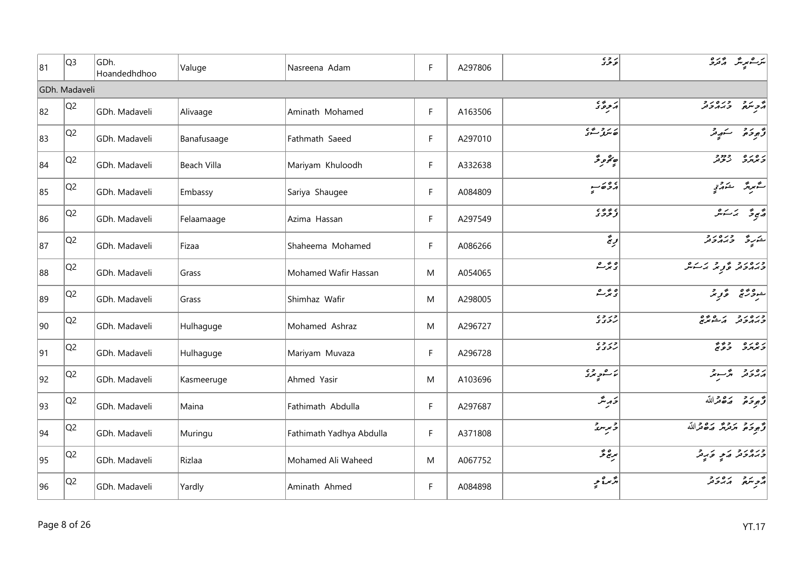| 81 | Q3             | GDh.<br>Hoandedhdhoo | Valuge      | Nasreena Adam            | F.          | A297806 | د و ،<br>  تو تو د                        | ىر شەيرىگە ئەمرە                                           |
|----|----------------|----------------------|-------------|--------------------------|-------------|---------|-------------------------------------------|------------------------------------------------------------|
|    | GDh. Madaveli  |                      |             |                          |             |         |                                           |                                                            |
| 82 | Q <sub>2</sub> | GDh. Madaveli        | Alivaage    | Aminath Mohamed          | $\mathsf F$ | A163506 | پر پوء                                    | و ره ر د<br><i>د ب</i> رگرفر<br>ړ ژ سره                    |
| 83 | Q2             | GDh. Madaveli        | Banafusaage | Fathmath Saeed           | F           | A297010 | ە ئىرومىيى                                | وٌجوحَا مَ سَهِ مَرْ                                       |
| 84 | Q <sub>2</sub> | GDh. Madaveli        | Beach Villa | Mariyam Khuloodh         | F           | A332638 | په محرمو محر                              | ر ه ر ه<br><del>د</del> بربرو<br>و وو و<br>نرمونتر         |
| 85 | Q <sub>2</sub> | GDh. Madaveli        | Embassy     | Sariya Shaugee           | F           | A084809 | $\frac{1}{2}$ $\frac{1}{2}$ $\frac{1}{2}$ | ستمعره كالمستحمري                                          |
| 86 | Q <sub>2</sub> | GDh. Madaveli        | Felaamaage  | Azima Hassan             | F           | A297549 | ، پر پ<br>وڅرنۍ                           | م بم تخليف بر كم يكونكر                                    |
| 87 | Q <sub>2</sub> | GDh. Madaveli        | Fizaa       | Shaheema Mohamed         | F.          | A086266 | ويح                                       | شركة وره دو                                                |
| 88 | Q <sub>2</sub> | GDh. Madaveli        | Grass       | Mohamed Wafir Hassan     | M           | A054065 | ە ئەرم                                    | ورەر دېم ترکيم                                             |
| 89 | Q <sub>2</sub> | GDh. Madaveli        | Grass       | Shimhaz Wafir            | M           | A298005 | ى ئېر م                                   | شودرج قروبر                                                |
| 90 | Q <sub>2</sub> | GDh. Madaveli        | Hulhaguge   | Mohamed Ashraz           | M           | A296727 | و ر و ،<br>رى ى                           | وره رو در ۵۵۰۵<br>وبردونر در شوبرج                         |
| 91 | Q <sub>2</sub> | GDh. Madaveli        | Hulhaguge   | Mariyam Muvaza           | F           | A296728 | و ر و ،<br>رى ى                           | ر ه ر ه<br><del>د</del> بربرگ<br>ح خ مخ<br>ح ح مخ          |
| 92 | Q <sub>2</sub> | GDh. Madaveli        | Kasmeeruge  | Ahmed Yasir              | M           | A103696 | ىز مەھ پىرى<br>م                          | גפי די היי                                                 |
| 93 | Q <sub>2</sub> | GDh. Madaveli        | Maina       | Fathimath Abdulla        | $\mathsf F$ | A297687 | ځه پتر                                    | وتجرحته وكالترالله                                         |
| 94 | Q <sub>2</sub> | GDh. Madaveli        | Muringu     | Fathimath Yadhya Abdulla | $\mathsf F$ | A371808 | د سرسر<br>  د سرسر                        | و برو بروژ ده دالله                                        |
| 95 | Q <sub>2</sub> | GDh. Madaveli        | Rizlaa      | Mohamed Ali Waheed       | M           | A067752 | ىرچۇ                                      | وره رو كم و كارد                                           |
| 96 | Q <sub>2</sub> | GDh. Madaveli        | Yardly      | Aminath Ahmed            | F           | A084898 | ېژ <sub>ىمد</sub> ى <sub>مخ</sub>         | بر ٥ پر و<br>م <i>ر</i> بر <del>و</del> تر<br>ر<br>مرگ سرچ |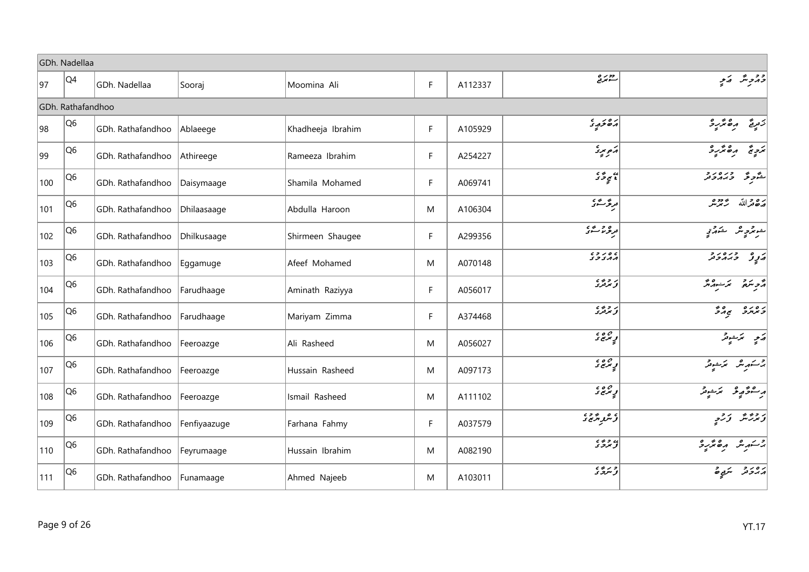|     | GDh. Nadellaa     |                   |              |                   |           |         |                                        |                                          |
|-----|-------------------|-------------------|--------------|-------------------|-----------|---------|----------------------------------------|------------------------------------------|
| 97  | Q4                | GDh. Nadellaa     | Sooraj       | Moomina Ali       | F         | A112337 | ردد ره<br>سنوري                        | لروم تر اړم                              |
|     | GDh. Rathafandhoo |                   |              |                   |           |         |                                        |                                          |
| 98  | Q6                | GDh. Rathafandhoo | Ablaeege     | Khadheeja Ibrahim | F         | A105929 | پره ځږي                                | نرَمْرِيَّحَ<br>مەھترىرى                 |
| 99  | Q6                | GDh. Rathafandhoo | Athireege    | Rameeza Ibrahim   | F         | A254227 | لهَ حو مبری                            | رە ئەرد<br>برَدِجٌ                       |
| 100 | Q6                | GDh. Rathafandhoo | Daisymaage   | Shamila Mohamed   | F         | A069741 | پر سرچ دی<br>  با سمج حر <sub>حر</sub> | و رە ر د<br><i>د بە</i> پەر<br>ىشگە تەڭر |
| 101 | Q6                | GDh. Rathafandhoo | Dhilaasaage  | Abdulla Haroon    | ${\sf M}$ | A106304 | ورۇشى ئ                                | مح <sup>ود ج</sup> ر میں<br>برە تراللە   |
| 102 | Q6                | GDh. Rathafandhoo | Dhilkusaage  | Shirmeen Shaugee  | F         | A299356 | ور و د بر پر پر<br>در نور استری        | جوهر په مشرقتي                           |
| 103 | Q6                | GDh. Rathafandhoo | Eggamuge     | Afeef Mohamed     | ${\sf M}$ | A070148 | 55500                                  | و ره ر و<br><i>و پر</i> و تر<br>ەزىۋ     |
| 104 | Q6                | GDh. Rathafandhoo | Farudhaage   | Aminath Raziyya   | F         | A056017 | ر و پر ،<br>تو برترد                   | ىئە سىدەرىگە<br>پر<br>مرکز سرچ           |
| 105 | Q6                | GDh. Rathafandhoo | Farudhaage   | Mariyam Zimma     | F         | A374468 | ر و پر ،<br>تو برترد                   | במתכ הַ                                  |
| 106 | Q6                | GDh. Rathafandhoo | Feeroazge    | Ali Rasheed       | M         | A056027 | و ۵ ۵ م<br>پ <sub>ه</sub> ترې          | كالمح المخرجة                            |
| 107 | Q6                | GDh. Rathafandhoo | Feeroazge    | Hussain Rasheed   | ${\sf M}$ | A097173 | و ۵ ۵ م<br>پ <sub>ه</sub> ترې          | يركبها الكراعية                          |
| 108 | Q6                | GDh. Rathafandhoo | Feeroazge    | Ismail Rasheed    | M         | A111102 | و ۵ ۵ م<br>پ <sub>ه</sub> ترې          | ر جۇرپۇ - ئەجەر                          |
| 109 | Q6                | GDh. Rathafandhoo | Fenfiyaazuge | Farhana Fahmy     | F         | A037579 | ۇ شرىر ئىرى                            | ر دوم پژگر در در                         |
| 110 | Q6                | GDh. Rathafandhoo | Feyrumaage   | Hussain Ibrahim   | ${\sf M}$ | A082190 | در و در د<br>تو بورس ی                 | ج سکه شرح مرض مرکز د                     |
| 111 | Q6                | GDh. Rathafandhoo | Funamaage    | Ahmed Najeeb      | M         | A103011 | و ر د د<br>و سرچ د                     | رەر ئىستى ھ                              |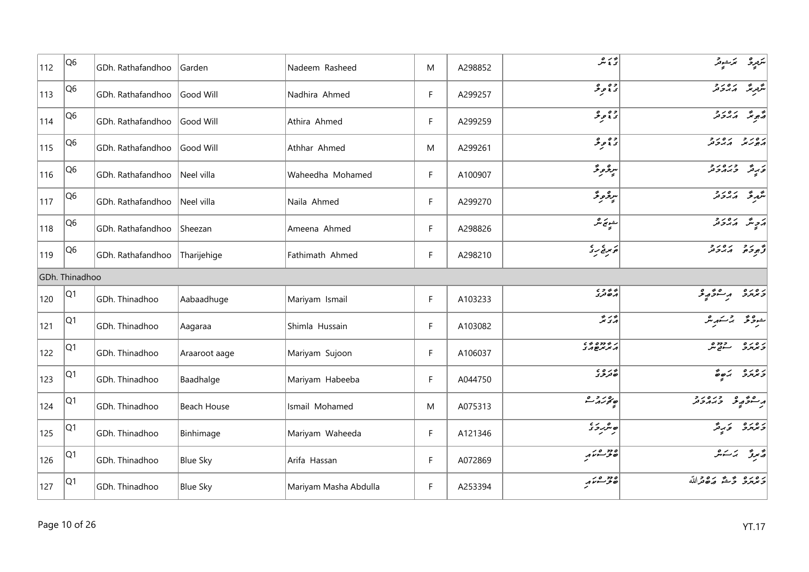| $ 112\rangle$ | Q6             | GDh. Rathafandhoo | <b>Garden</b>      | Nadeem Rasheed        | M           | A298852 | پر پ <sub>ر</sub> ه<br><sub>مح</sub> ی مګ | سكيرو المرشوش                               |
|---------------|----------------|-------------------|--------------------|-----------------------|-------------|---------|-------------------------------------------|---------------------------------------------|
| 113           | Q6             | GDh. Rathafandhoo | Good Will          | Nadhira Ahmed         | $\mathsf F$ | A299257 | وه و و<br>د ډېونو                         | ىترەرىتر<br>برور و                          |
| 114           | Q6             | GDh. Rathafandhoo | Good Will          | Athira Ahmed          | F.          | A299259 | ده وی                                     | پر پر<br>مربو بر<br>ەر دەر                  |
| 115           | Q <sub>6</sub> | GDh. Rathafandhoo | Good Will          | Athhar Ahmed          | M           | A299261 | وه و و<br><sub>مر</sub> و و د             | بر 2 پر <del>و</del><br>ر ٥ ر ۶<br>د چ ر بر |
| 116           | Q6             | GDh. Rathafandhoo | Neel villa         | Waheedha Mohamed      | F           | A100907 | سرچرېڅر                                   | و رە ر د<br>تر پر تر تر<br>ى بر دىگر        |
| 117           | Q6             | GDh. Rathafandhoo | Neel villa         | Naila Ahmed           | $\mathsf F$ | A299270 | سرچرېڅر                                   | پرەر د<br>ىترە ئۇ                           |
| 118           | Q6             | GDh. Rathafandhoo | Sheezan            | Ameena Ahmed          | $\mathsf F$ | A298826 | ا <sub>ڪو</sub> يچ پٽر                    | ړې پره دو                                   |
| 119           | Q6             | GDh. Rathafandhoo | Tharijehige        | Fathimath Ahmed       | F           | A298210 | اپر ہے<br>افوسریفے سر <sup>ی</sup>        | و د د ده دور                                |
|               | GDh. Thinadhoo |                   |                    |                       |             |         |                                           |                                             |
| 120           | Q1             | GDh. Thinadhoo    | Aabaadhuge         | Mariyam Ismail        | $\mathsf F$ | A103233 | پر پر د ،<br>درگانور                      | دەرە مەرەم                                  |
| 121           | Q1             | GDh. Thinadhoo    | Aagaraa            | Shimla Hussain        | F.          | A103082 | پرسمبر                                    | شەۋىۋ<br>بر ئەمەر بىر                       |
| 122           | Q1             | GDh. Thinadhoo    | Araaroot aage      | Mariyam Sujoon        | F           | A106037 | ر پر دو ه پر بر<br>در بر بر ج در پ        | ر ه ر ه<br><del>ر</del> بربرگ<br>ر دود ه    |
| 123           | Q1             | GDh. Thinadhoo    | Baadhalge          | Mariyam Habeeba       | $\mathsf F$ | A044750 | ۶ ر ه ›<br>خ <i>گر</i> مر                 | ره ره دههٔ                                  |
| 124           | Q1             | GDh. Thinadhoo    | <b>Beach House</b> | Ismail Mohamed        | M           | A075313 | ە ئۇ ئەرمى                                | بر عرکم و دره د و                           |
| 125           | Q1             | GDh. Thinadhoo    | Binhimage          | Mariyam Waheeda       | $\mathsf F$ | A121346 | ھ مر بر دی<br>بر                          | رەرە رېڭر                                   |
| 126           | Q1             | GDh. Thinadhoo    | <b>Blue Sky</b>    | Arifa Hassan          | F           | A072869 | ە دوم بىر<br>مۇسىمىتى                     | ەتىرىق ئەسكىلى                              |
| 127           | Q1             | GDh. Thinadhoo    | <b>Blue Sky</b>    | Mariyam Masha Abdulla | F.          | A253394 | ە دەر مەر                                 | رەرە ئەڭ مەھىراللە                          |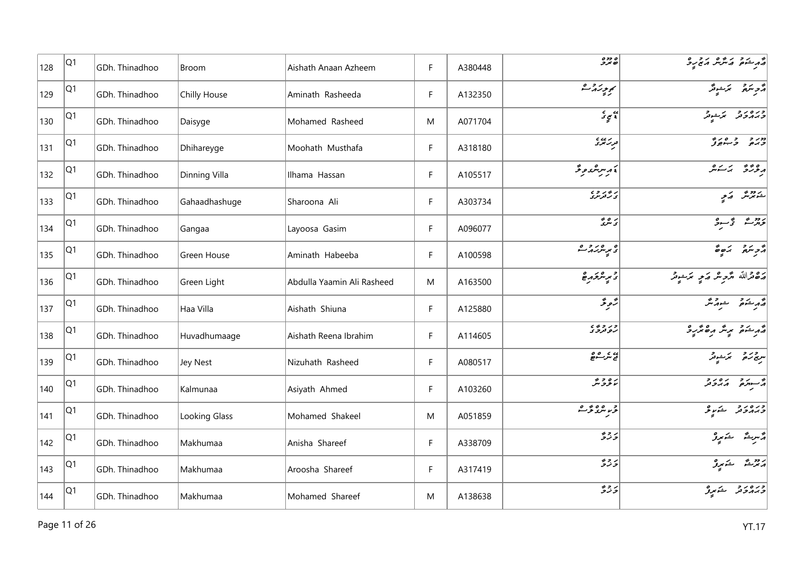| 128 | Q1 | GDh. Thinadhoo | <b>Broom</b>         | Aishath Anaan Azheem       | F. | A380448 | ه دوه<br>ن <i>ه پو</i> ر              | م مشور مشر مي د                     |
|-----|----|----------------|----------------------|----------------------------|----|---------|---------------------------------------|-------------------------------------|
| 129 | Q1 | GDh. Thinadhoo | Chilly House         | Aminath Rasheeda           | F. | A132350 | كووزۇر                                | أأرجع المتشوقر                      |
| 130 | Q1 | GDh. Thinadhoo | Daisyge              | Mohamed Rasheed            | Μ  | A071704 | يم سمج تو<br>په سمج تو                | ورەرو كەنبەتر                       |
| 131 | Q1 | GDh. Thinadhoo | Dhihareyge           | Moohath Musthafa           | F. | A318180 | ر ده د<br>درگتری                      | دور و و دره<br><i>وبره</i> و سوبوتي |
| 132 | Q1 | GDh. Thinadhoo | <b>Dinning Villa</b> | Ilhama Hassan              | F. | A105517 | ا <sub>ن</sub> ۍ مرسرعه <i>و</i> گ    | مافرانزق الاسكانس                   |
| 133 | Q1 | GDh. Thinadhoo | Gahaadhashuge        | Sharoona Ali               | F. | A303734 | ر بر ر و ،<br>ی رکوروی                | شەمرىش كەيپ                         |
| 134 | Q1 | GDh. Thinadhoo | Gangaa               | Layoosa Gasim              | F. | A096077 | ر ه پژ                                | ىردە ئۇسەۋ                          |
| 135 | Q1 | GDh. Thinadhoo | <b>Green House</b>   | Aminath Habeeba            | F  | A100598 | و بر مرکز مرکز م                      | أزويتم بموة                         |
| 136 | Q1 | GDh. Thinadhoo | Green Light          | Abdulla Yaamin Ali Rasheed | M  | A163500 | تح بر عر محرم هي                      | رە داللە مۇجەنتر مەمچ ئىزىشونتر     |
| 137 | Q1 | GDh. Thinadhoo | Haa Villa            | Aishath Shiuna             | F. | A125880 | رَّحْ وَ وَ                           | د.<br><i>دگ</i> ر شومی شور شر       |
| 138 | Q1 | GDh. Thinadhoo | Huvadhumaage         | Aishath Reena Ibrahim      | F. | A114605 | و ر و د » ،<br>ره ترو د               | ړ ر شوې برند ره تر رو               |
| 139 | Q1 | GDh. Thinadhoo | Jey Nest             | Nizuhath Rasheed           | F  | A080517 | ي مگر <u>مر</u> م<br>في مگر سگر ڪي    | سرچ کر پر پی کے میران<br>سرچ کرمی   |
| 140 | Q1 | GDh. Thinadhoo | Kalmunaa             | Asiyath Ahmed              | F. | A103260 | ر و د پر                              | أثر سورة المردور                    |
| 141 | Q1 | GDh. Thinadhoo | Looking Glass        | Mohamed Shakeel            | M  | A051859 | ۇ <sub>بو</sub> ب <sub>ىرى</sub> ئۇ ب | ورەرو خىرو                          |
| 142 | Q1 | GDh. Thinadhoo | Makhumaa             | Anisha Shareef             | F. | A338709 | ۇزۇ                                   | أرسمية المتورثر                     |
| 143 | Q1 | GDh. Thinadhoo | Makhumaa             | Aroosha Shareef            | F. | A317419 | ۇزۇ                                   | أرجع متساوير والمستور               |
| 144 | Q1 | GDh. Thinadhoo | Makhumaa             | Mohamed Shareef            | M  | A138638 | ۇزۇ                                   | ورەرو شەرو                          |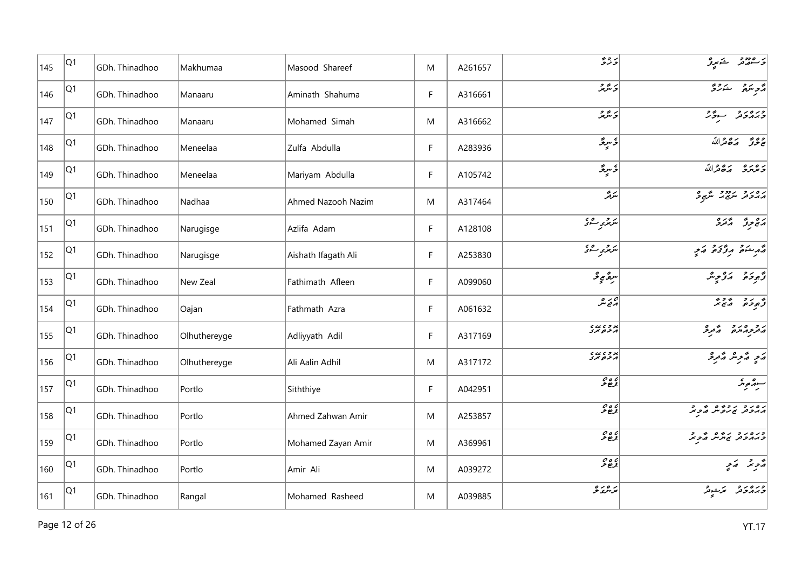| 145 | Q1 | GDh. Thinadhoo | Makhumaa     | Masood Shareef      | M           | A261657 | ة زُرْش                    | ر ۶ <i>۶۰۰ ـــ م</i> رکز<br>در سور در سومبرگر                                                         |
|-----|----|----------------|--------------|---------------------|-------------|---------|----------------------------|-------------------------------------------------------------------------------------------------------|
| 146 | Q1 | GDh. Thinadhoo | Manaaru      | Aminath Shahuma     | F           | A316661 | ىر مەر<br>جەنئىرىمە        | أروبتهم المشررة                                                                                       |
| 147 | Q1 | GDh. Thinadhoo | Manaaru      | Mohamed Simah       | M           | A316662 | ر پر د                     | وره رو دور                                                                                            |
| 148 | Q1 | GDh. Thinadhoo | Meneelaa     | Zulfa Abdulla       | $\mathsf F$ | A283936 | ئەسرىتى                    | ح و ته مركانده بين                                                                                    |
| 149 | Q1 | GDh. Thinadhoo | Meneelaa     | Mariyam Abdulla     | $\mathsf F$ | A105742 | ۇ بىر ئىچ                  | رەرە رەقراللە                                                                                         |
| 150 | Q1 | GDh. Thinadhoo | Nadhaa       | Ahmed Nazooh Nazim  | M           | A317464 | سرپڑ                       | رەر دەدە شەر                                                                                          |
| 151 | Q1 | GDh. Thinadhoo | Narugisge    | Azlifa Adam         | $\mathsf F$ | A128108 | ىر <i>جى جە</i> ج          | أرجوق أرترو                                                                                           |
| 152 | Q1 | GDh. Thinadhoo | Narugisge    | Aishath Ifagath Ali | $\mathsf F$ | A253830 | ىئر <i>پرېمو س</i> ىر      | أأمر والملحق والمحمد والمحمد المحمد والمحمد والمحمد والمحمد والمحمد والمحمد والمحمد والمحمد والمحمد و |
| 153 | Q1 | GDh. Thinadhoo | New Zeal     | Fathimath Afleen    | F.          | A099060 | سره بې څه                  | توجوجو أكرو بيثر                                                                                      |
| 154 | Q1 | GDh. Thinadhoo | Oajan        | Fathmath Azra       | $\mathsf F$ | A061632 | ہ رچ<br>مربع مگر           | قرم د د د د                                                                                           |
| 155 | Q1 | GDh. Thinadhoo | Olhuthereyge | Adliyyath Adil      | F.          | A317169 | پر و ی یں ی<br>جر تو جر پ  | גבת הרב הבקיב                                                                                         |
| 156 | Q1 | GDh. Thinadhoo | Olhuthereyge | Ali Aalin Adhil     | M           | A317172 | پر و د دد د<br>در نوحو مور | ړی په ده په په                                                                                        |
| 157 | Q1 | GDh. Thinadhoo | Portlo       | Siththiye           | $\mathsf F$ | A042951 | بره ج<br>بوڪو              | سوړه پو                                                                                               |
| 158 | Q1 | GDh. Thinadhoo | Portlo       | Ahmed Zahwan Amir   | M           | A253857 | بره ج<br>بوڪو              | גם ג'ב ג'ב בים ה' ביב                                                                                 |
| 159 | Q1 | GDh. Thinadhoo | Portlo       | Mohamed Zayan Amir  | M           | A369961 | إيماه                      | כנסגב גם ם הב                                                                                         |
| 160 | Q1 | GDh. Thinadhoo | Portlo       | Amir Ali            | M           | A039272 | إيماه                      | أوجاجر أوجيج                                                                                          |
| 161 | Q1 | GDh. Thinadhoo | Rangal       | Mohamed Rasheed     | M           | A039885 | ىر ھەر ھ                   | ورەرو كەنبەتر                                                                                         |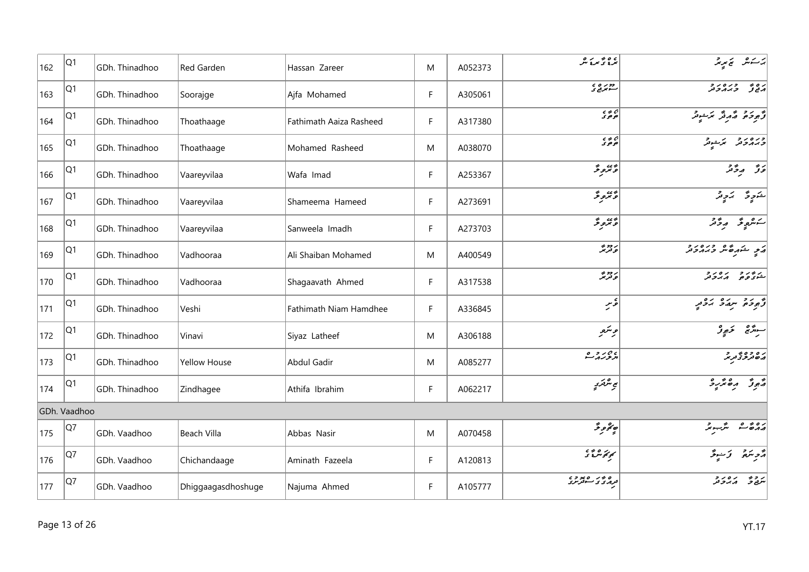| 162 | Q1           | GDh. Thinadhoo | Red Garden          | Hassan Zareer           | M  | A052373 | ، ە بۇ بر ە<br>برو ئەبىرو مىر                           | ىرىمىش ئىمرىم                                          |
|-----|--------------|----------------|---------------------|-------------------------|----|---------|---------------------------------------------------------|--------------------------------------------------------|
| 163 | Q1           | GDh. Thinadhoo | Soorajge            | Ajfa Mohamed            | F  | A305061 | دد بر ۵ ر<br>سنڌ مربع ک                                 | ره دره رد<br>مقانی دیگردند                             |
| 164 | Q1           | GDh. Thinadhoo | Thoathaage          | Fathimath Aaiza Rasheed | F. | A317380 | ج ءِ ج<br>حوص ت                                         | توجوحة ممرنتر لرجعته                                   |
| 165 | Q1           | GDh. Thinadhoo | Thoathaage          | Mohamed Rasheed         | M  | A038070 | ج ءِ ج<br>حوص ت                                         | ورەرو كەنبەتر                                          |
| 166 | Q1           | GDh. Thinadhoo | Vaareyvilaa         | Wafa Imad               | F. | A253367 | و پر<br>د تر <sub>حر</sub> ژ                            | دی په دی په                                            |
| 167 | Q1           | GDh. Thinadhoo | Vaareyvilaa         | Shameema Hameed         | F  | A273691 | و پر<br>د تر <sub>حو</sub> څه                           | لشكورة الكاوير                                         |
| 168 | Q1           | GDh. Thinadhoo | Vaareyvilaa         | Sanweela Imadh          | F. | A273703 | ە يە<br>قەنىزە بەقتى                                    | سەھرىقە بەرقىر                                         |
| 169 | Q1           | GDh. Thinadhoo | Vadhooraa           | Ali Shaiban Mohamed     | M  | A400549 | ر دو بر<br>د ترنگ                                       | مر شهره مره در                                         |
| 170 | Q1           | GDh. Thinadhoo | Vadhooraa           | Shagaavath Ahmed        | F. | A317538 | ر دو پر<br>و تر پر                                      | شوکرو بره برو<br>شوکرون مرکز تر                        |
| 171 | Q1           | GDh. Thinadhoo | Veshi               | Fathimath Niam Hamdhee  | F. | A336845 | غرمر                                                    | توجوجو سمكو بكومر                                      |
| 172 | Q1           | GDh. Thinadhoo | Vinavi              | Siyaz Latheef           | M  | A306188 | ويترجر                                                  | سورج كرونو                                             |
| 173 | Q1           | GDh. Thinadhoo | <b>Yellow House</b> | <b>Abdul Gadir</b>      | M  | A085277 | ، <i>می ر</i> و ه<br>مرکز درگ                           | ر ۵ ۶ و ۶ و بر ۶<br>پره تر تر تر بر                    |
| 174 | Q1           | GDh. Thinadhoo | Zindhagee           | Athifa Ibrahim          | F. | A062217 | ىبې شرتىرىپە                                            | أقبور مقترره                                           |
|     | GDh. Vaadhoo |                |                     |                         |    |         |                                                         |                                                        |
| 175 | Q7           | GDh. Vaadhoo   | <b>Beach Villa</b>  | Abbas Nasir             | M  | A070458 | ھ گارو ٿُ                                               | رە ئەڭ ئىر بەر                                         |
| 176 | Q7           | GDh. Vaadhoo   | Chichandaage        | Aminath Fazeela         | F  | A120813 | ىم كىم سر ج م<br>كىم كىم سر ج ك                         | أزويتهم وكالميثر                                       |
| 177 | Q7           | GDh. Vaadhoo   | Dhiggaagasdhoshuge  | Najuma Ahmed            | F  | A105777 | ہ بھ بر ہے و د<br>توہری <sub>ک</sub> ے سوتو <i>ب</i> وی | ىر 3 بۇ<br>سرچ تر<br>بر ٥ پر و<br>مربر <del>و</del> تر |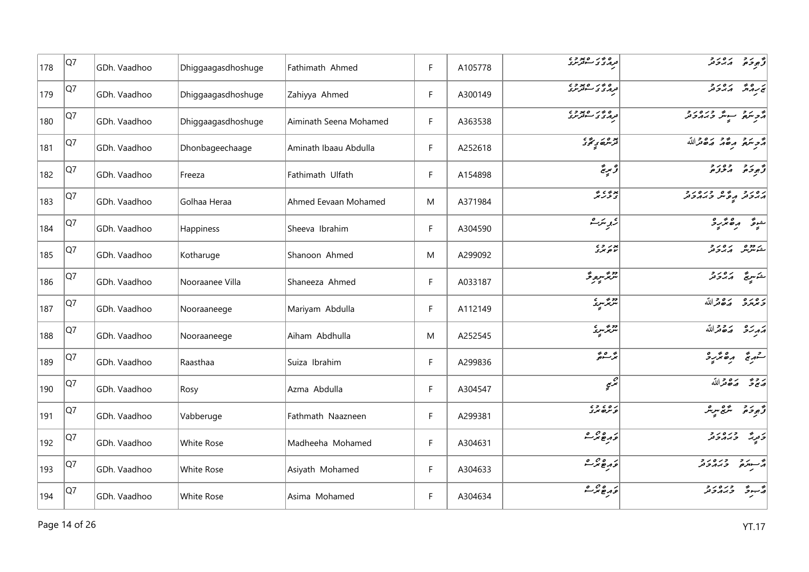| 178 | Q7 | GDh. Vaadhoo | Dhiggaagasdhoshuge | Fathimath Ahmed        | F         | A105778 | ہ بھ بر ہے و ء<br>توہری <sub>کی</sub> سوتو <i>ہو</i> ی | قرجوحر مردور                                          |
|-----|----|--------------|--------------------|------------------------|-----------|---------|--------------------------------------------------------|-------------------------------------------------------|
| 179 | Q7 | GDh. Vaadhoo | Dhiggaagasdhoshuge | Zahiyya Ahmed          | F         | A300149 | ہ بھ بر ہے و د<br>توہری <sub>ک</sub> ے سوتو <i>ہ</i> ی | 5,0,0,0,0,0,0,0,0,0                                   |
| 180 | Q7 | GDh. Vaadhoo | Dhiggaagasdhoshuge | Aiminath Seena Mohamed | F         | A363538 | ہ بھ بر ہے و ء<br>توہری <sub>کی</sub> سوتو <i>ہو</i> ی | הכיתה <sub>היית</sub> כנוסגב                          |
| 181 | Q7 | GDh. Vaadhoo | Dhonbageechaage    | Aminath Ibaau Abdulla  | F         | A252618 | قرش تو گوی                                             | مُحِسَرَةٍ مِعَمْ مَعْقَرَاللَّهُ                     |
| 182 | Q7 | GDh. Vaadhoo | Freeza             | Fathimath Ulfath       | F         | A154898 | ۇ بېرىتح                                               | و ده ده ده ده                                         |
| 183 | Q7 | GDh. Vaadhoo | Golhaa Heraa       | Ahmed Eevaan Mohamed   | ${\sf M}$ | A371984 | پر پر پ<br>  پی ٹر س                                   | גם גדה שם כגם גב<br>גגבת הפית כגהכת                   |
| 184 | Q7 | GDh. Vaadhoo | Happiness          | Sheeva Ibrahim         | F.        | A304590 | ائ <sub>ج</sub> و بترت <sup>9</sup>                    | شوق رەڭرىرى                                           |
| 185 | Q7 | GDh. Vaadhoo | Kotharuge          | Shanoon Ahmed          | M         | A299092 | پر بر و پر<br>مانه تبری                                | ے دوہ رہ رو<br>شہر مرکز مرکز                          |
| 186 | Q7 | GDh. Vaadhoo | Nooraanee Villa    | Shaneeza Ahmed         | F         | A033187 | تر پژمېږي ځه                                           | بر ٥ پر و<br>م <i>ر</i> بر <del>و</del> تر<br>شەسرىتى |
| 187 | Q7 | GDh. Vaadhoo | Nooraaneege        | Mariyam Abdulla        | F.        | A112149 | تر پڑ ہیں                                              | مَرْهِ قراللّه<br>ر ه ر ه<br><del>د</del> بربرگ       |
| 188 | Q7 | GDh. Vaadhoo | Nooraaneege        | Aiham Abdhulla         | ${\sf M}$ | A252545 | دو پر پر پر<br>سر پر س <sub>ر پر</sub>                 | ەزرە<br>مَرْصَعْرِاللَّه                              |
| 189 | Q7 | GDh. Vaadhoo | Raasthaa           | Suiza Ibrahim          | F         | A299836 | پۇ رەپ<br>ئىرىسى <i>م</i>                              | ستهريخ<br>مەھترىرى                                    |
| 190 | Q7 | GDh. Vaadhoo | Rosy               | Azma Abdulla           | F.        | A304547 | جرمج                                                   | مەھىراللە<br>ر و ء<br>در س                            |
| 191 | Q7 | GDh. Vaadhoo | Vabberuge          | Fathmath Naazneen      | F         | A299381 | ر ه ر و ر<br>و نره بو د                                | شرچ سرینگ<br>وٌجوحَ حو                                |
| 192 | Q7 | GDh. Vaadhoo | White Rose         | Madheeha Mohamed       | F.        | A304631 | لخدع محمة                                              | و ر ه ر و<br>تر پروتر<br>ترىرچ                        |
| 193 | Q7 | GDh. Vaadhoo | <b>White Rose</b>  | Asiyath Mohamed        | F         | A304633 | كرموعه                                                 | پر<br>در سوهره<br>و رە ر د<br>تر پروتر                |
| 194 | Q7 | GDh. Vaadhoo | <b>White Rose</b>  | Asima Mohamed          | F         | A304634 | ورء محمر                                               | و ره ر د<br>تربر پر تر<br>رميسر                       |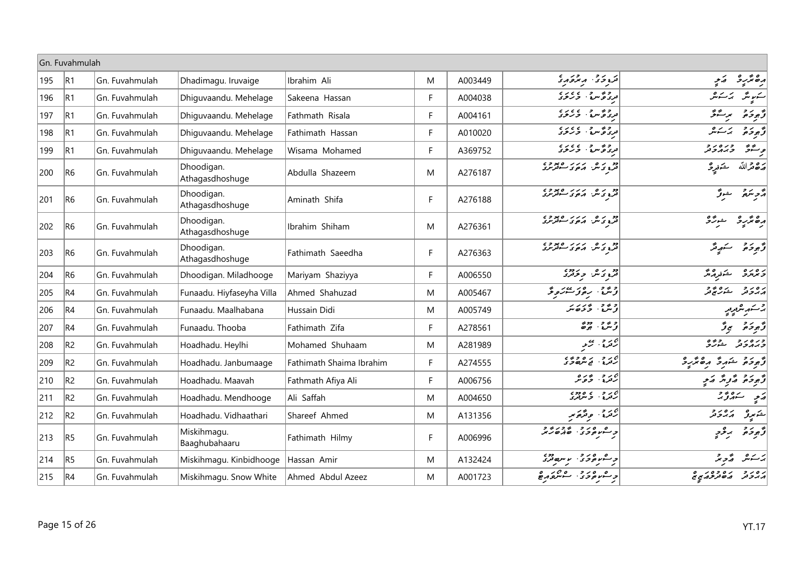|     | Gn. Fuvahmulah |                |                               |                          |    |         |                                                            |                                                  |
|-----|----------------|----------------|-------------------------------|--------------------------|----|---------|------------------------------------------------------------|--------------------------------------------------|
| 195 | R1             | Gn. Fuvahmulah | Dhadimagu. Iruvaige           | Ibrahim Ali              | M  | A003449 | قروحري ويحدثه                                              | ەر ھەتمەر 2<br>ر<br>برمو                         |
| 196 | R1             | Gn. Fuvahmulah | Dhiguvaandu. Mehelage         | Sakeena Hassan           | F  | A004038 | دروس و ، ، ، ، ، ،<br>دری ش سه زمروی                       | سەر بىگە                                         |
| 197 | R1             | Gn. Fuvahmulah | Dhiguvaandu. Mehelage         | Fathmath Risala          | F. | A004161 | و د ه په د د د د د د د<br>در د و سره او رمود               | و بر د<br>ىرىسىمۇ                                |
| 198 | R1             | Gn. Fuvahmulah | Dhiguvaandu. Mehelage         | Fathimath Hassan         | F  | A010020 | و ه سر و .<br>تررگ سره ۰ و ر ور                            | ءِ ر د<br>ترج تر م                               |
| 199 | R1             | Gn. Fuvahmulah | Dhiguvaandu. Mehelage         | Wisama Mohamed           | F. | A369752 | و د ه په د د د د د د<br>ترر و سره ۱۰ و رمور                | و ره ر و<br>تر پروتر<br>ە رىشىچ                  |
| 200 | R <sub>6</sub> | Gn. Fuvahmulah | Dhoodigan.<br>Athagasdhoshuge | Abdulla Shazeem          | M  | A276187 | دد د ه. درد ه پروه<br>توپه د ش. د پوه د سوتوس              | صصرالله<br>ستكفرو                                |
| 201 | R6             | Gn. Fuvahmulah | Dhoodigan.<br>Athagasdhoshuge | Aminath Shifa            | F  | A276188 | دو بر ه به بربر ه برو و ،<br>تو و تو به از از کاربرد       | لمجمعبهمو<br>شەۋ                                 |
| 202 | R <sub>6</sub> | Gn. Fuvahmulah | Dhoodigan.<br>Athagasdhoshuge | Ibrahim Shiham           | M  | A276361 | دد د ه. د در ه پروه<br><mark>درد د</mark> شوی سوتر دی      | شەرگە 3<br>ارەتمەر ۋ                             |
| 203 | R <sub>6</sub> | Gn. Fuvahmulah | Dhoodigan.<br>Athagasdhoshuge | Fathimath Saeedha        | F  | A276363 | دد د ه. د د د ه پروه<br><mark>نده د</mark> ش شوی سونتر تری | و بر د<br>ترج تر م<br>سته وتر                    |
| 204 | R <sub>6</sub> | Gn. Fuvahmulah | Dhoodigan. Miladhooge         | Mariyam Shaziyya         | F. | A006550 | دد به کرد و به دود با<br>ترو کامل از حرفری                 | ر ه پر ه<br>تر <i>پر</i> بر<br>شەَفرەرگر         |
| 205 | R4             | Gn. Fuvahmulah | Funaadu. Hiyfaseyha Villa     | Ahmed Shahuzad           | M  | A005467 | ۇپرى بەر سى <i>ر مەر بۇ</i>                                | رەرد شەرىپەر<br>مەرومى شەرىج                     |
| 206 | R4             | Gn. Fuvahmulah | Funaadu. Maalhabana           | Hussain Didi             | M  | A005749 | د مه په په مختص تنگر<br>بوشنۍ سخه خوځو تنگر                | ج <sub>ە</sub> سەم بىر مورىيە                    |
| 207 | R4             | Gn. Fuvahmulah | Funaadu. Thooba               | Fathimath Zifa           | F. | A278561 | و پر دون<br>توسط مون                                       | قەدە بىر                                         |
| 208 | R2             | Gn. Fuvahmulah | Hoadhadu. Heylhi              | Mohamed Shuhaam          | M  | A281989 | جونز ۽ مسيحيد                                              | مشر څر و<br>و ر ه ر و<br>و پر پر <del>و</del> تر |
| 209 | R2             | Gn. Fuvahmulah | Hoadhadu. Janbumaage          | Fathimath Shaima Ibrahim | F. | A274555 | ج ر و بر و و د و<br>  رفر ع بر ه و د د                     | ژوځو څرو ره ژرو                                  |
| 210 | R2             | Gn. Fuvahmulah | Hoadhadu. Maavah              | Fathmath Afiya Ali       | F. | A006756 | ج ر و  به ره<br>رس  و بر                                   | والمجافاة الأراثر الأميا                         |
| 211 | R2             | Gn. Fuvahmulah | Hoadhadu. Mendhooge           | Ali Saffah               | M  | A004650 | ج پر و مع و دو و<br>ترفر د محمد موفرد                      | أەمو سىدە دە                                     |
| 212 | R2             | Gn. Fuvahmulah | Hoadhadu. Vidhaathari         | Shareef Ahmed            | M  | A131356 | بر د و و د بر<br>  روز و و د د بر                          | برورو<br>ے مرو<br>ح                              |
| 213 | R <sub>5</sub> | Gn. Fuvahmulah | Miskihmagu.<br>Baaghubahaaru  | Fathimath Hilmy          | F  | A006996 | 7.413.4 710.000                                            | وٌمودَهُ بروْدِ                                  |
| 214 | R5             | Gn. Fuvahmulah | Miskihmagu. Kinbidhooge       | Hassan Amir              | M  | A132424 | כ המים כי מייח בין                                         | يركسك المراجر                                    |
| 215 | R4             | Gn. Fuvahmulah | Miskihmagu. Snow White        | Ahmed Abdul Azeez        | M  | A001723 | وسموج والمعالمة                                            | גם גם גם כסגם                                    |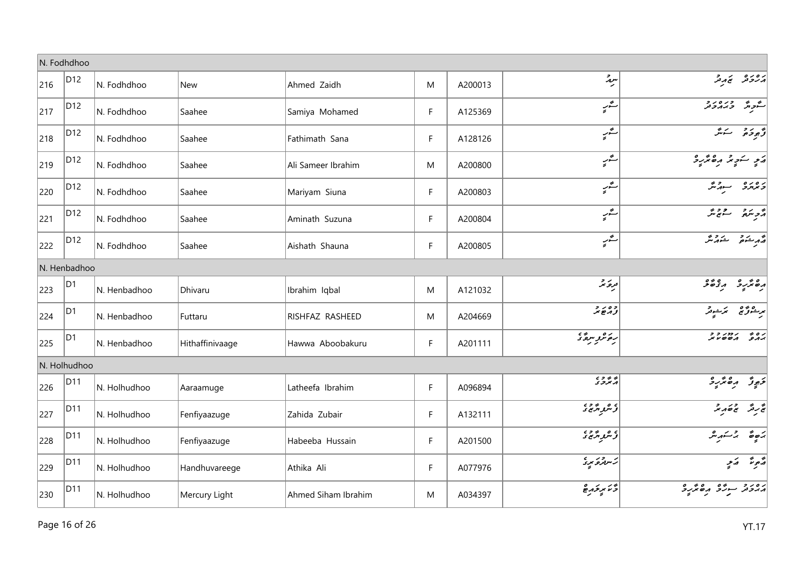|     | N. Fodhdhoo     |              |                 |                     |           |         |                                       |                                         |
|-----|-----------------|--------------|-----------------|---------------------|-----------|---------|---------------------------------------|-----------------------------------------|
| 216 | D <sub>12</sub> | N. Fodhdhoo  | New             | Ahmed Zaidh         | ${\sf M}$ | A200013 | سرچ                                   | دەرە بى دىتر                            |
| 217 | D <sub>12</sub> | N. Fodhdhoo  | Saahee          | Samiya Mohamed      | F         | A125369 | ستثمريه                               | و ره ر و<br>تر پروتر<br>ش د پژ          |
| 218 | D <sub>12</sub> | N. Fodhdhoo  | Saahee          | Fathimath Sana      | F         | A128126 | يثمني                                 | ژوځو شکر                                |
| 219 | D <sub>12</sub> | N. Fodhdhoo  | Saahee          | Ali Sameer Ibrahim  | M         | A200800 | ستنميز                                | ړې خو په ره ټرېو                        |
| 220 | D <sub>12</sub> | N. Fodhdhoo  | Saahee          | Mariyam Siuna       | F.        | A200803 | سٿير                                  | ر ه ر ه<br><del>و</del> بربرو<br>سوديتى |
| 221 | D <sub>12</sub> | N. Fodhdhoo  | Saahee          | Aminath Suzuna      | F         | A200804 | ستثمرية                               | ړې سره<br>تە تۇپتىر                     |
| 222 | D <sub>12</sub> | N. Fodhdhoo  | Saahee          | Aishath Shauna      | F         | A200805 | ستھریہ                                | شەرقەتىر<br>و.<br>د آرمستوج             |
|     | N. Henbadhoo    |              |                 |                     |           |         |                                       |                                         |
| 223 | D1              | N. Henbadhoo | Dhivaru         | Ibrahim Iqbal       | M         | A121032 | در کر <sup>2</sup>                    | ىر ھەتتەر 2<br>ر<br>ىر ئەھمى            |
| 224 | D1              | N. Henbadhoo | Futtaru         | RISHFAZ RASHEED     | M         | A204669 | د ه ه پر<br>تر د ځ بر                 | برڪوڻج - برڪوٽر                         |
| 225 | D1              | N. Henbadhoo | Hithaffinivaage | Hawwa Aboobakuru    | F         | A201111 | رە ئرو بىرە ئى                        | ر ە بە<br>برە بۇ<br>נחנים<br>גם סיטיב   |
|     | N. Holhudhoo    |              |                 |                     |           |         |                                       |                                         |
| 226 | D11             | N. Holhudhoo | Aaraamuge       | Latheefa Ibrahim    | F         | A096894 | پر بر و ،<br>د تر تر ی                | ترج تر<br>وە ئۆرۈ                       |
| 227 | D <sub>11</sub> | N. Holhudhoo | Fenfiyaazuge    | Zahida Zubair       | F         | A132111 | ې هرو پر دې<br>ز سرو پر پر د          | تجربته تح حادبته                        |
| 228 | D <sub>11</sub> | N. Holhudhoo | Fenfiyaazuge    | Habeeba Hussain     | F         | A201500 | ئۇ شرىر ش <sup>ىرى</sup> ئە           | رُه هُ<br>بر ئەمەر بى <sub>ر</sub>      |
| 229 | D11             | N. Holhudhoo | Handhuvareege   | Athika Ali          | F         | A077976 | ر سرچر <sub>ي مور</sub> ي             | أشموش أمدحيه                            |
| 230 | D11             | N. Holhudhoo | Mercury Light   | Ahmed Siham Ibrahim | M         | A034397 | ۇ ئەس <sub>ىر</sub> خەرق <sub>ى</sub> | سرترد رەتمەرد<br>ەردەر                  |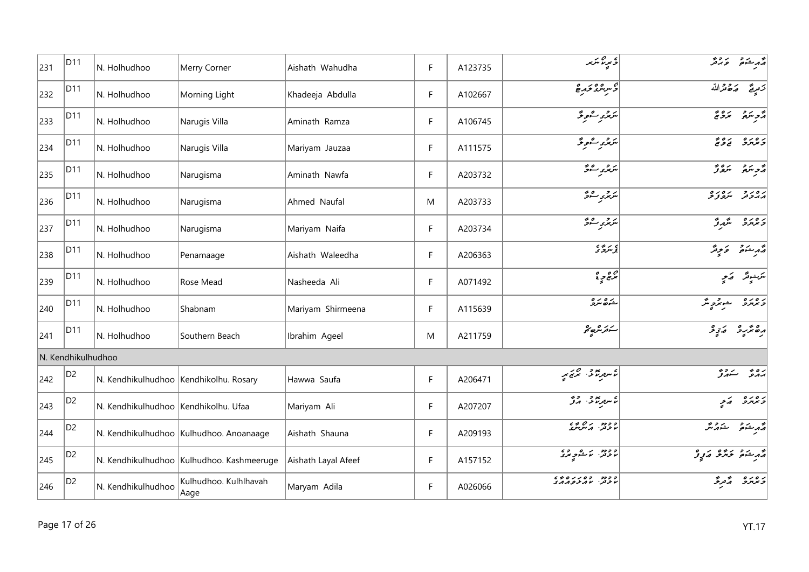| 231 | D11                | N. Holhudhoo                           | Merry Corner                              | Aishath Wahudha     | F.          | A123735 | ې پر ن <sub>م</sub> متر پر       | ه د شکه او د و په                                  |
|-----|--------------------|----------------------------------------|-------------------------------------------|---------------------|-------------|---------|----------------------------------|----------------------------------------------------|
| 232 | D11                | N. Holhudhoo                           | Morning Light                             | Khadeeja Abdulla    | F           | A102667 | <i>چېر پرېږي څوړ ځ</i>           | كتعيق كدة فدالله                                   |
| 233 | D11                | N. Holhudhoo                           | Narugis Villa                             | Aminath Ramza       | F.          | A106745 | ىئرىز <sub>ى</sub> سىھوقە        | ړ د سرچ<br>بر ه پر<br>برد بح                       |
| 234 | D11                | N. Holhudhoo                           | Narugis Villa                             | Mariyam Jauzaa      | F.          | A111575 | ىئر <i>پرېمو سىمو</i> ئۇ         | ر ه ر ه<br><del>د</del> بربرگ<br>ر ه و.<br>قع حريج |
| 235 | D11                | N. Holhudhoo                           | Narugisma                                 | Aminath Nawfa       | F           | A203732 | ىئە <i>بىرى سى</i> مۇ            | أشجاشهم المتعادلي                                  |
| 236 | D11                | N. Holhudhoo                           | Narugisma                                 | Ahmed Naufal        | M           | A203733 | ىترىزىيە شەمۇ                    | رەرد برەرە                                         |
| 237 | D11                | N. Holhudhoo                           | Narugisma                                 | Mariyam Naifa       | F.          | A203734 | ىئەتترىر شۇڭر                    | ر ه ر ه<br><del>د</del> بربرگ<br>ستمدقه            |
| 238 | D11                | N. Holhudhoo                           | Penamaage                                 | Aishath Waleedha    | F           | A206363 | ې پر پر ې<br>بوسرچ <sub>ک</sub>  | مەرشىق قاموش                                       |
| 239 | D11                | N. Holhudhoo                           | Rose Mead                                 | Nasheeda Ali        | F           | A071492 | ەرە ج<br>ئىرىنى ج <sub>ە</sub> ي | للركبيونكر الكامج                                  |
| 240 | D11                | N. Holhudhoo                           | Shabnam                                   | Mariyam Shirmeena   | F           | A115639 | شەھ سرچ                          | وبروه جيرونگر                                      |
| 241 | D11                | N. Holhudhoo                           | Southern Beach                            | Ibrahim Ageel       | M           | A211759 | سەتەبىر ھەمچ                     | رەپرىر كەنچى                                       |
|     | N. Kendhikulhudhoo |                                        |                                           |                     |             |         |                                  |                                                    |
| 242 | D <sub>2</sub>     | N. Kendhikulhudhoo Kendhikolhu. Rosary |                                           | Hawwa Saufa         | $\mathsf F$ | A206471 | ، سرمر پیچ دی می پی <sub>چ</sub> | ره و دو                                            |
| 243 | D <sub>2</sub>     | N. Kendhikulhudhoo Kendhikolhu. Ufaa   |                                           | Mariyam Ali         | F.          | A207207 | ء سعر سوم ديد.<br>س              | د وره د ک                                          |
| 244 | D <sub>2</sub>     |                                        | N. Kendhikulhudhoo Kulhudhoo. Anoanaage   | Aishath Shauna      | F           | A209193 | و ودو.<br>برنوټر اړکېږي کا       | مەر ئەر ئەر ئەر                                    |
| 245 | D <sub>2</sub>     |                                        | N. Kendhikulhudhoo Kulhudhoo. Kashmeeruge | Aishath Layal Afeef | F           | A157152 | و دود.<br>با نوتر با کشور مرد    | وأرجاح كرائك وأولى                                 |
| 246 | D <sub>2</sub>     | N. Kendhikulhudhoo                     | Kulhudhoo. Kulhlhavah<br>Aage             | Maryam Adila        | F           | A026066 | כככב כסננסטט<br>טעט: טגעסגג      | رەرە ئەرگ                                          |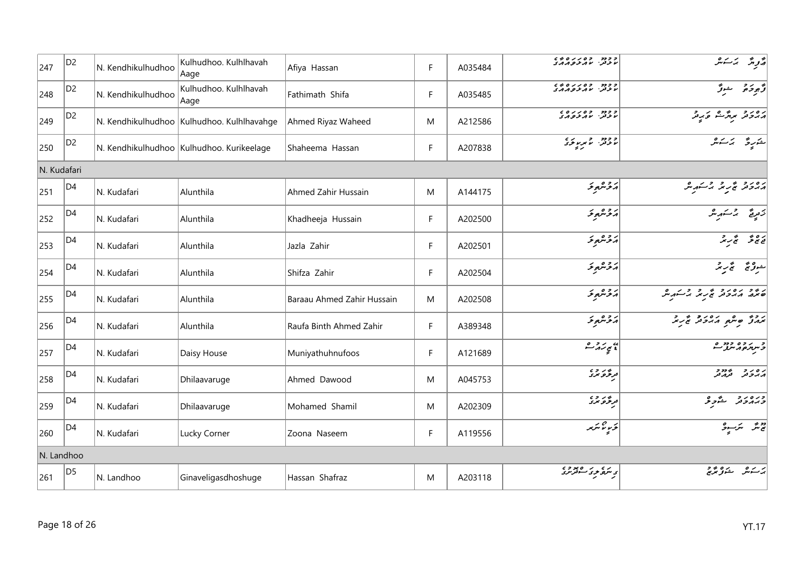| 247         | D <sub>2</sub> | N. Kendhikulhudhoo | Kulhudhoo. Kulhlhavah<br>Aage              | Afiya Hassan               | F           | A035484 | כככב כסגגם 4 2<br>מיטיקי - מהיטפה הב                | گەنوڭ ئەسكىلى                 |
|-------------|----------------|--------------------|--------------------------------------------|----------------------------|-------------|---------|-----------------------------------------------------|-------------------------------|
| 248         | D <sub>2</sub> | N. Kendhikulhudhoo | Kulhudhoo. Kulhlhavah<br>Aage              | Fathimath Shifa            | F           | A035485 | כככ <i>ב כסננסט</i> ט<br>עינה ע <b>תינפ</b> גהב     | قُرْجِرْحَمْ سُوقٌ            |
| 249         | D <sub>2</sub> |                    | N. Kendhikulhudhoo Kulhudhoo. Kulhlhavahge | Ahmed Riyaz Waheed         | M           | A212586 | و ووو ۔ وہ ر ر ن ء<br>مارکوں مالہ تو جات            | رەرد بروگ كەيد                |
| 250         | D <sub>2</sub> |                    | N. Kendhikulhudhoo Kulhudhoo. Kurikeelage  | Shaheema Hassan            | F           | A207838 | و ودون و مربع توی                                   | لمتربرة المرسكين              |
| N. Kudafari |                |                    |                                            |                            |             |         |                                                     |                               |
| 251         | D <sub>4</sub> | N. Kudafari        | Alunthila                                  | Ahmed Zahir Hussain        | M           | A144175 | ىر ترى <i>گى ب</i>                                  | رورو پم بر بر شور ش           |
| 252         | D4             | N. Kudafari        | Alunthila                                  | Khadheeja Hussain          | F           | A202500 | ارتز شعبوخه                                         | تزمرق الرستمرش                |
| 253         | D <sub>4</sub> | N. Kudafari        | Alunthila                                  | Jazla Zahir                | F           | A202501 | ە ئەشھو ئە                                          | رەپچە ئەرىر<br>ئى ئاخ         |
| 254         | D <sub>4</sub> | N. Kudafari        | Alunthila                                  | Shifza Zahir               | F           | A202504 | ە قەشھېرىخە                                         | شوق تجريمه                    |
| 255         | D <sub>4</sub> | N. Kudafari        | Alunthila                                  | Baraau Ahmed Zahir Hussain | M           | A202508 | ە ئەشھېرىخە                                         | ו מר נפנד הני לי הריות ול     |
| 256         | D <sub>4</sub> | N. Kudafari        | Alunthila                                  | Raufa Binth Ahmed Zahir    | $\mathsf F$ | A389348 | رَ تَهْ سُعِيحَهِ                                   | נים היה היה כי היה            |
| 257         | D <sub>4</sub> | N. Kudafari        | Daisy House                                | Muniyathuhnufoos           | E           | A121689 | انا پې ئەر <sup>د</sup> ىشە                         | و سروه ووو ه                  |
| 258         | D4             | N. Kudafari        | Dhilaavaruge                               | Ahmed Dawood               | M           | A045753 | و د د د ،<br>درمره بر د                             | ره ر د پروو<br>م.پروتر گرمانر |
| 259         | D4             | N. Kudafari        | Dhilaavaruge                               | Mohamed Shamil             | M           | A202309 | در پچه بر د بر<br>در تر تر بر                       | ورەرو شەرى                    |
| 260         | D <sub>4</sub> | N. Kudafari        | Lucky Corner                               | Zoona Naseem               | F           | A119556 | ځه په تنگیر                                         | پی تئر سر ترکیب و م           |
| N. Landhoo  |                |                    |                                            |                            |             |         |                                                     |                               |
| 261         | D5             | N. Landhoo         | Ginaveligasdhoshuge                        | Hassan Shafraz             | M           | A203118 | ی مترکه موتر د میتود و م<br>محمد مترکزی مستوفر مربو | بركستيش المشوقر محرج          |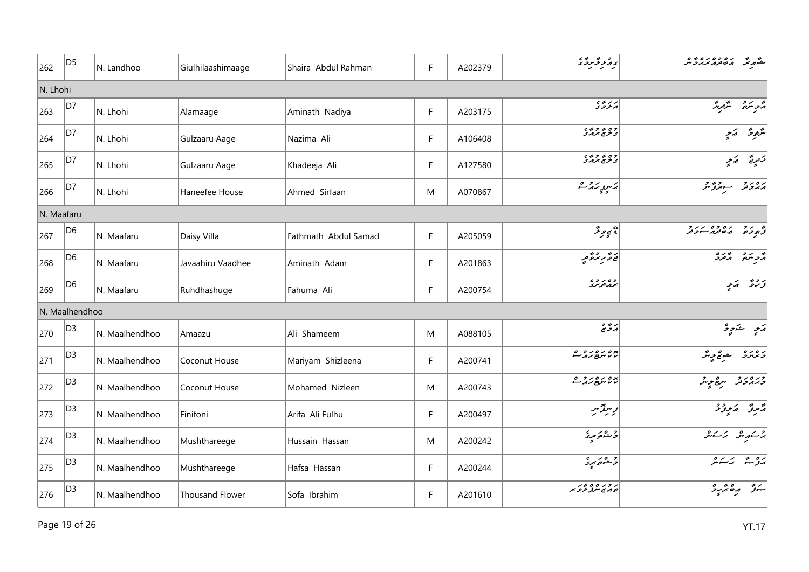| 262        | D5             | N. Landhoo     | Giulhilaashimaage | Shaira Abdul Rahman  | F           | A202379 | <sub>ى م</sub> ۇبرۇ ئەرگە ئ                 | ره وه ره ده ه<br>پره توپر <i>بو</i> برو س<br>شەھەتىر         |
|------------|----------------|----------------|-------------------|----------------------|-------------|---------|---------------------------------------------|--------------------------------------------------------------|
| N. Lhohi   |                |                |                   |                      |             |         |                                             |                                                              |
| 263        | D7             | N. Lhohi       | Alamaage          | Aminath Nadiya       | $\mathsf F$ | A203175 | ر ر » ،<br>پر ژ ژ د                         | ړ څر سرچ<br>سرٌوردٌ                                          |
| 264        | D7             | N. Lhohi       | Gulzaaru Aage     | Nazima Ali           | F.          | A106408 | 5 <i>۵ ۵ ۶ ۵ ۹</i><br>۲ <b>۶ ۶</b> ۴ ۴ ۶    | سَّنْجِرَدَّ<br>ەتىر                                         |
| 265        | D7             | N. Lhohi       | Gulzaaru Aage     | Khadeeja Ali         | F.          | A127580 | و ه په و پر و<br>د <del>م</del> ربح بمراد و | تزدرق كالمحام                                                |
| 266        | D7             | N. Lhohi       | Haneefee House    | Ahmed Sirfaan        | M           | A070867 | ئەس <sub>لە</sub> ر ئەرقىقى                 | رەرد سەردىد<br>مەدونر سەرۋىتر                                |
| N. Maafaru |                |                |                   |                      |             |         |                                             |                                                              |
| 267        | D <sub>6</sub> | N. Maafaru     | Daisy Villa       | Fathmath Abdul Samad | F           | A205059 | ۽ سچ عرقته                                  | ر ٥ ٥ ٥ ٠ ر ۶<br>پره تر پر ښو <del>ر</del> تر<br>وٌ جو تر قر |
| 268        | D <sub>6</sub> | N. Maafaru     | Javaahiru Vaadhee | Aminath Adam         | $\mathsf F$ | A201863 | <br>  ئى قرىر تىرقى تىر                     | ړ د سرچ<br>ەرگەر                                             |
| 269        | D <sub>6</sub> | N. Maafaru     | Ruhdhashuge       | Fahuma Ali           | F           | A200754 | و ه ر و »<br>مرد تر تر ت                    | ورويح المكامح                                                |
|            | N. Maalhendhoo |                |                   |                      |             |         |                                             |                                                              |
| 270        | D <sub>3</sub> | N. Maalhendhoo | Amaazu            | Ali Shameem          | M           | A088105 | ەردىج                                       | أركموا المستورة                                              |
| 271        | D <sub>3</sub> | N. Maalhendhoo | Coconut House     | Mariyam Shizleena    | F.          | A200741 | پره پروبرو ه<br>مرس                         | رەرە ھەرىرىگە<br><i>دىن</i> ەرد ھەم                          |
| 272        | D <sub>3</sub> | N. Maalhendhoo | Coconut House     | Mohamed Nizleen      | M           | A200743 | پره پروبر <sup>و</sup> م                    | و رە ر د<br>تر پر تر تر<br>سرچ پوسر                          |
| 273        | D <sub>3</sub> | N. Maalhendhoo | Finifoni          | Arifa Ali Fulhu      | F.          | A200497 | و سرتر سر<br>بر سر                          | ەتىرۇ ئەردۇ                                                  |
| 274        | D3             | N. Maalhendhoo | Mushthareege      | Hussain Hassan       | M           | A200242 | ۇ شەھ <sub>ىرى</sub>                        | يرتتهرش يرتبطى                                               |
| 275        | D3             | N. Maalhendhoo | Mushthareege      | Hafsa Hassan         | F           | A200244 | ۇ شەھ <sup>ى</sup> مىرى                     | بروية برسكس                                                  |
| 276        | D <sub>3</sub> | N. Maalhendhoo | Thousand Flower   | Sofa Ibrahim         | F.          | A201610 | ر ور ٥٥ مر<br>پوهر پی مرتوکو تیر            | ىبۇ مەھرىرد                                                  |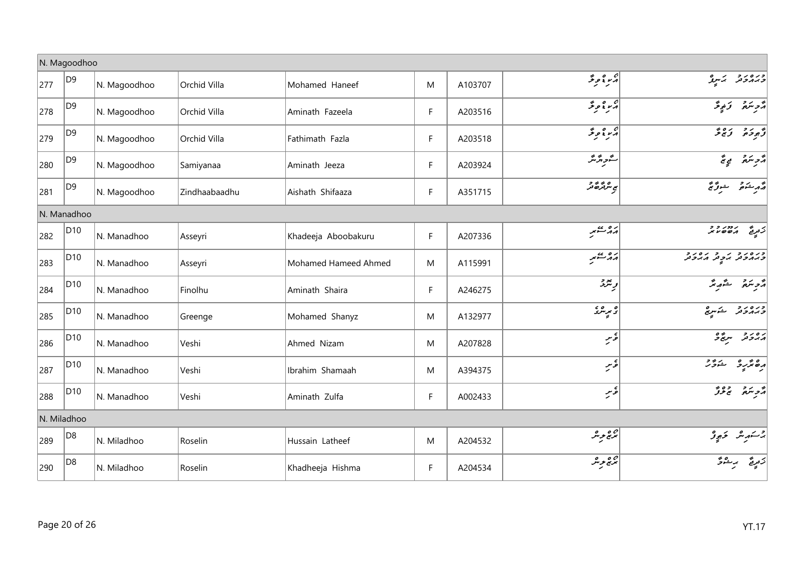|     | N. Magoodhoo    |              |               |                      |   |         |                                                |                                                |
|-----|-----------------|--------------|---------------|----------------------|---|---------|------------------------------------------------|------------------------------------------------|
| 277 | D <sub>9</sub>  | N. Magoodhoo | Orchid Villa  | Mohamed Haneef       | M | A103707 | پر یا <sub>عرف</sub> قه                        | دبره دبر برسرو                                 |
| 278 | D <sub>9</sub>  | N. Magoodhoo | Orchid Villa  | Aminath Fazeela      | F | A203516 | پر یا <sub>عرف</sub> قه                        | أزويته وكالحيث                                 |
| 279 | D <sub>9</sub>  | N. Magoodhoo | Orchid Villa  | Fathimath Fazla      | F | A203518 | ئەس <sub>ى</sub> جو بىر                        | و بر د<br>ارتبوخ <b>م</b><br>تر پر بحر         |
| 280 | D <sub>9</sub>  | N. Magoodhoo | Samiyanaa     | Aminath Jeeza        | F | A203924 | شوە پەتتى                                      | أثرم سيدمج تمج تح                              |
| 281 | D <sub>9</sub>  | N. Magoodhoo | Zindhaabaadhu | Aishath Shifaaza     | F | A351715 | ىم ئىرت <i>ۇرى</i><br>ئىم ئىرت <i>ىرى قى</i> ر | و الأمر شور الشور في حج                        |
|     | N. Manadhoo     |              |               |                      |   |         |                                                |                                                |
| 282 | D <sub>10</sub> | N. Manadhoo  | Asseyri       | Khadeeja Aboobakuru  | F | A207336 | أرەعىر                                         | كردقى مەھەملىر                                 |
| 283 | D10             | N. Manadhoo  | Asseyri       | Mohamed Hameed Ahmed | M | A115991 | ارەتىمېر                                       | כנסנפ גבב גםנפ<br>כגובנג גבב גאבט              |
| 284 | D10             | N. Manadhoo  | Finolhu       | Aminath Shaira       | F | A246275 | وبيود                                          | ړ د سرچ<br>ے گھ مگر                            |
| 285 | D10             | N. Manadhoo  | Greenge       | Mohamed Shanyz       | M | A132977 | ه مړسمه<br>د <sub>ځ</sub> ېښې                  | ورەرو شەرچ                                     |
| 286 | D <sub>10</sub> | N. Manadhoo  | Veshi         | Ahmed Nizam          | M | A207828 | ءَ بر                                          | رەرو سەرە                                      |
| 287 | D10             | N. Manadhoo  | Veshi         | Ibrahim Shamaah      | M | A394375 | ءَ مر                                          | ے بچے تر<br>ە ھەترىر ۋ                         |
| 288 | D10             | N. Manadhoo  | Veshi         | Aminath Zulfa        | F | A002433 | غرمر                                           | أثرم تتمرس موثر                                |
|     | N. Miladhoo     |              |               |                      |   |         |                                                |                                                |
| 289 | D <sub>8</sub>  | N. Miladhoo  | Roselin       | Hussain Latheef      | M | A204532 | جرج مريثر                                      | چرىكى ئۇچۇلى<br>ساھەر ئۇچۇلى<br>ئۇيىقى برىشىمى |
| 290 | D <sub>8</sub>  | N. Miladhoo  | Roselin       | Khadheeja Hishma     | F | A204534 | جرچ محر مګر                                    |                                                |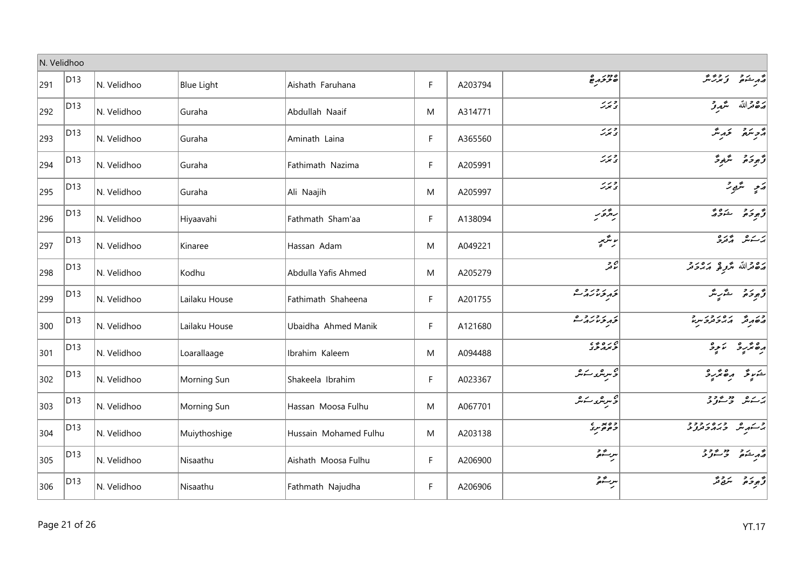|     | N. Velidhoo     |             |                   |                       |             |         |                                   |                                             |                                                                                                                |
|-----|-----------------|-------------|-------------------|-----------------------|-------------|---------|-----------------------------------|---------------------------------------------|----------------------------------------------------------------------------------------------------------------|
| 291 | D <sub>13</sub> | N. Velidhoo | <b>Blue Light</b> | Aishath Faruhana      | $\mathsf F$ | A203794 | ە دورې                            | أقهر بشكافها والمحركر متر                   |                                                                                                                |
| 292 | D <sub>13</sub> | N. Velidhoo | Guraha            | Abdullah Naaif        | M           | A314771 | ح مربر<br>مح <b>س</b> مربر        |                                             | برة قرالله مثمر                                                                                                |
| 293 | D <sub>13</sub> | N. Velidhoo | Guraha            | Aminath Laina         | F           | A365560 | ح مربر<br>مح <b>س</b> مربر        |                                             | أزويته فرمريثر                                                                                                 |
| 294 | D <sub>13</sub> | N. Velidhoo | Guraha            | Fathimath Nazima      | $\mathsf F$ | A205991 | ح مر پر<br>ئ                      |                                             | تزود متفرقه                                                                                                    |
| 295 | D <sub>13</sub> | N. Velidhoo | Guraha            | Ali Naajih            | M           | A205997 | ح مربر<br>مح <b>س</b> رت          |                                             | ړې شمېر                                                                                                        |
| 296 | D <sub>13</sub> | N. Velidhoo | Hiyaavahi         | Fathmath Sham'aa      | $\mathsf F$ | A138094 | ىرەژە ئەر                         | شەۋەپە                                      | ۇ ب <sub>و</sub> ر د                                                                                           |
| 297 | D <sub>13</sub> | N. Velidhoo | Kinaree           | Hassan Adam           | M           | A049221 | ىدىتىر<br>س                       |                                             | ير کے مگر محمد حرکت کے مقدمت کے م                                                                              |
| 298 | D13             | N. Velidhoo | Kodhu             | Abdulla Yafis Ahmed   | M           | A205279 | ایم قد                            | أرەقماللە مزرفر مەددىر                      |                                                                                                                |
| 299 | D <sub>13</sub> | N. Velidhoo | Lailaku House     | Fathimath Shaheena    | F           | A201755 | ئۇم <i>بۇ ئەرمى</i> ت             |                                             | ۇ بۇرۇ شەربىر                                                                                                  |
| 300 | D13             | N. Velidhoo | Lailaku House     | Ubaidha Ahmed Manik   | F           | A121680 | نز مرکز در مرکز ک                 | בטת ברי ברבית                               |                                                                                                                |
| 301 | D <sub>13</sub> | N. Velidhoo | Loarallaage       | Ibrahim Kaleem        | M           | A094488 | ہ رہ دی۔<br>موسمہ مر <sub>ک</sub> |                                             | رە ئۆر ئىنزو                                                                                                   |
| 302 | D <sub>13</sub> | N. Velidhoo | Morning Sun       | Shakeela Ibrahim      | F           | A023367 | ۇ بىر بىرى كەنگە<br>م             |                                             | شورقر رەمۇرۇ                                                                                                   |
| 303 | D <sub>13</sub> | N. Velidhoo | Morning Sun       | Hassan Moosa Fulhu    | M           | A067701 | ر<br>ئارىبرى <i>گى كەنگ</i> ە     |                                             | ير کے معرف اور اس کا مقام کر دیا ہے کہ اس کے مقام کر دیکھا کے اس کا کہنا ہے جس کے اس کا کہنا ہے اور اس کا اس ک |
| 304 | D <sub>13</sub> | N. Velidhoo | Muiythoshige      | Hussain Mohamed Fulhu | M           | A203138 | و ه بو<br>تر موموری               | و در ۱۵۷۵ ورو و و د<br>پرسکهرس و پرووتونونو |                                                                                                                |
| 305 | D <sub>13</sub> | N. Velidhoo | Nisaathu          | Aishath Moosa Fulhu   | $\mathsf F$ | A206900 | سرڪو                              | ه در در در در در<br>مگر شو در سور           |                                                                                                                |
| 306 | D <sub>13</sub> | N. Velidhoo | Nisaathu          | Fathmath Najudha      | $\mathsf F$ | A206906 | ا <sub>سورځو</sub> نه             |                                             | و بالمحمد المعرفة المحمد المحمد المحمد المحمد المحمد المحمد المحمد المحمد المحمد المحمد المحمد المحمد المحمد ا |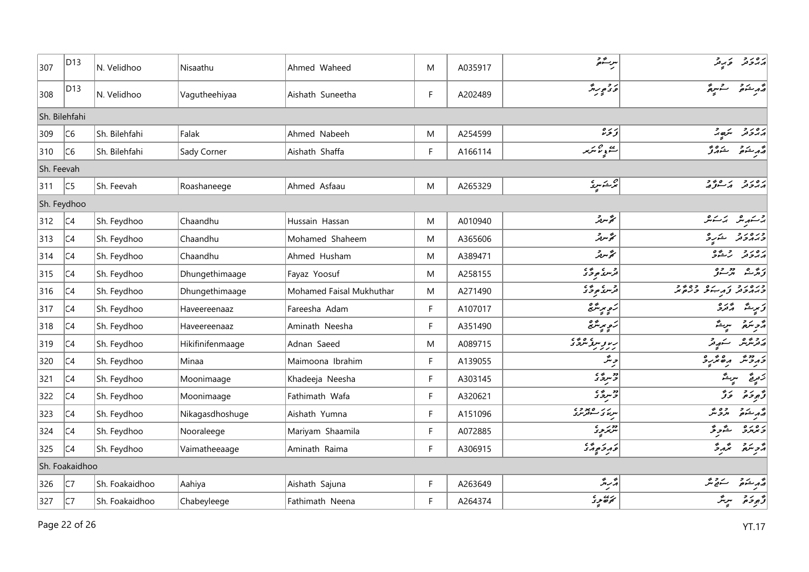| 307        | D <sub>13</sub> | N. Velidhoo    | Nisaathu         | Ahmed Waheed             | M           | A035917 | سرشو                                   | رەر ئەرتە                      |
|------------|-----------------|----------------|------------------|--------------------------|-------------|---------|----------------------------------------|--------------------------------|
| 308        | D13             | N. Velidhoo    | Vagutheehiyaa    | Aishath Suneetha         | $\mathsf F$ | A202489 | ئەجمە بەرتىر<br>  قۇيمۇ بىر            | وكروشكو كالمستعر               |
|            | Sh. Bilehfahi   |                |                  |                          |             |         |                                        |                                |
| 309        | C6              | Sh. Bilehfahi  | Falak            | Ahmed Nabeeh             | M           | A254599 | ترىژه                                  | גפגב תוסיל                     |
| 310        | C6              | Sh. Bilehfahi  | Sady Corner      | Aishath Shaffa           | F           | A166114 | سكو يو نكر يكر بير                     | د د ده ده د مورد د             |
| Sh. Feevah |                 |                |                  |                          |             |         |                                        |                                |
| 311        | C5              | Sh. Feevah     | Roashaneege      | Ahmed Asfaau             | M           | A265329 | ئۇيسىمىسىرىگە                          | ره رو در ۱۶۶۵<br>مدرونر مرسوبی |
|            | Sh. Feydhoo     |                |                  |                          |             |         |                                        |                                |
| 312        | C4              | Sh. Feydhoo    | Chaandhu         | Hussain Hassan           | M           | A010940 | ر<br>کارسولر                           | ج سەر سىر بر سەمل              |
| 313        | C4              | Sh. Feydhoo    | Chaandhu         | Mohamed Shaheem          | M           | A365606 | ر<br>کو سربر                           | ورەرو ئەرە                     |
| 314        | C4              | Sh. Feydhoo    | Chaandhu         | Ahmed Husham             | M           | A389471 | ر<br>کو سربر                           | رەرو ويۇۋ                      |
| 315        | C4              | Sh. Feydhoo    | Dhungethimaage   | Fayaz Yoosuf             | M           | A258155 | قرسند موځ د                            | ۇ ئۇ يەھ يېتىدۇ                |
| 316        | C4              | Sh. Feydhoo    | Dhungethimaage   | Mohamed Faisal Mukhuthar | M           | A271490 | و سر و دي.<br>مرسد م                   | ورەر دېر سرو دەپ د             |
| 317        | C4              | Sh. Feydhoo    | Haveereenaaz     | Fareesha Adam            | F           | A107017 | ئە <sub>ھە</sub> بىر ي <sup>ى</sup> رى | كوسيستش المرفرو                |
| 318        | C4              | Sh. Feydhoo    | Haveereenaaz     | Aminath Neesha           | F           | A351490 | ائەمەيدىنى<br>ئىستىم                   | أأدح سكرة المستحر المحمد       |
| 319        | C4              | Sh. Feydhoo    | Hikifinifenmaage | Adnan Saeed              | M           | A089715 | رىدوسۇمۇدى<br>سىزىر                    | رومي سكهور                     |
| 320        | C4              | Sh. Feydhoo    | Minaa            | Maimoona Ibrahim         | F.          | A139055 | حرمتمر                                 |                                |
| 321        | C4              | Sh. Feydhoo    | Moonimaage       | Khadeeja Neesha          | F           | A303145 | חי<br>קייקבצ                           | ئر تورچ<br>م<br>سريسَّہُ       |
| 322        | C4              | Sh. Feydhoo    | Moonimaage       | Fathimath Wafa           | $\mathsf F$ | A320621 | ود پرې<br>تر سرچ <sub>ک</sub>          | توجدة وتق                      |
| 323        | C4              | Sh. Feydhoo    | Nikagasdhoshuge  | Aishath Yumna            | F           | A151096 | ىرىر كەنجە <i>د</i> ى<br>سرىرى سىقرىرى | و در ده و<br>مهر شو مروس       |
| 324        | C4              | Sh. Feydhoo    | Nooraleege       | Mariyam Shaamila         | $\mathsf F$ | A072885 | دد بر<br>مرتز پور                      | وبرو شروته                     |
| 325        | C4              | Sh. Feydhoo    | Vaimatheeaage    | Aminath Raima            | $\mathsf F$ | A306915 | ا د د د و و د د                        | أزوينهم الجرارة                |
|            | Sh. Foakaidhoo  |                |                  |                          |             |         |                                        |                                |
| 326        | C7              | Sh. Foakaidhoo | Aahiya           | Aishath Sajuna           | $\mathsf F$ | A263649 | رمبررسمر                               | ۇرمىئو سىقىر                   |
| 327        | C7              | Sh. Foakaidhoo | Chabeyleege      | Fathimath Neena          | F.          | A264374 | ري پر ي<br>کوه پور                     | ر ديگر د برگ                   |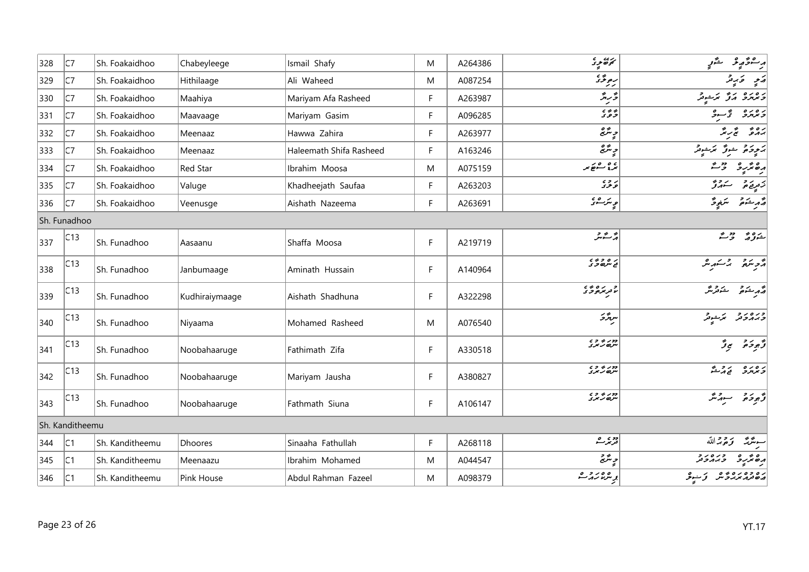| 328 | C7              | Sh. Foakaidhoo  | Chabeyleege       | Ismail Shafy            | M           | A264386 | ري ء<br>کوھ <del>و</del> د         |                                                                                                                                                                                                         |
|-----|-----------------|-----------------|-------------------|-------------------------|-------------|---------|------------------------------------|---------------------------------------------------------------------------------------------------------------------------------------------------------------------------------------------------------|
| 329 | C7              | Sh. Foakaidhoo  | Hithilaage        | Ali Waheed              | M           | A087254 | رەپىدى<br>رىر                      | ر حوګړنۍ څنې<br>د خوګړنۍ                                                                                                                                                                                |
| 330 | C7              | Sh. Foakaidhoo  | Maahiya           | Mariyam Afa Rasheed     | $\mathsf F$ | A263987 | د سر پر<br>ر                       | دەرە رۇ ئەيد                                                                                                                                                                                            |
| 331 | C7              | Sh. Foakaidhoo  | Maavaage          | Mariyam Gasim           | F           | A096285 | و و ،<br>و ه د                     | رەرە ئۆسۈ                                                                                                                                                                                               |
| 332 | C7              | Sh. Foakaidhoo  | Meenaaz           | Hawwa Zahira            | $\mathsf F$ | A263977 | جريثرمج                            | رە ئەرىر                                                                                                                                                                                                |
| 333 | C7              | Sh. Foakaidhoo  | Meenaaz           | Haleemath Shifa Rasheed | $\mathsf F$ | A163246 | جريثرمج                            | كالمجافاة والمتحر الكراشوقر                                                                                                                                                                             |
| 334 | C7              | Sh. Foakaidhoo  | <b>Red Star</b>   | Ibrahim Moosa           | M           | A075159 | ى مى ھەيجە بىر                     | ەھترىرى دىم<br>بەھترىرى دىم                                                                                                                                                                             |
| 335 | C7              | Sh. Foakaidhoo  | Valuge            | Khadheejath Saufaa      | $\mathsf F$ | A263203 | ر و ،<br>د تر                      | زىرە ئەدەر<br>ئىرىق ئىسىم                                                                                                                                                                               |
| 336 | c7              | Sh. Foakaidhoo  | Veenusge          | Aishath Nazeema         | F           | A263691 | اوپەتىر                            | مەرشە ئىبوگ                                                                                                                                                                                             |
|     | Sh. Funadhoo    |                 |                   |                         |             |         |                                    |                                                                                                                                                                                                         |
| 337 | C13             | Sh. Funadhoo    | Aasaanu           | Shaffa Moosa            | $\mathsf F$ | A219719 | ر محمد شر                          | $\begin{array}{cc} \mathcal{L} & \mathcal{L} & \mathcal{L} & \mathcal{L} \\ \mathcal{L} & \mathcal{L} & \mathcal{L} & \mathcal{L} \\ \mathcal{L} & \mathcal{L} & \mathcal{L} & \mathcal{L} \end{array}$ |
| 338 | $\mathsf{C}$ 13 | Sh. Funadhoo    | Janbumaage        | Aminath Hussain         | F           | A140964 | ر ه د و و<br>تح سره تر د           | مەر ئەسىم بىر ئىسكىرىش                                                                                                                                                                                  |
| 339 | C13             | Sh. Funadhoo    | Kudhiraiymaage    | Aishath Shadhuna        | F           | A322298 | د دره و ،<br>مامریزه ژ د           | دگەرىشكى ئىككى ئىگرىنگر                                                                                                                                                                                 |
| 340 | $\mathsf{C}$ 13 | Sh. Funadhoo    | Niyaama           | Mohamed Rasheed         | M           | A076540 | سردگر                              | ورەرو كەنبەتى                                                                                                                                                                                           |
| 341 | $\mathsf{C}$ 13 | Sh. Funadhoo    | Noobahaaruge      | Fathimath Zifa          | F           | A330518 | وور پر و ،<br>سرچ <i>ې تر</i> تر ت | ۇ بوزۇ بىرگە                                                                                                                                                                                            |
| 342 | C13             | Sh. Funadhoo    | Noobahaaruge      | Mariyam Jausha          | $\mathsf F$ | A380827 | وور پر و ،<br>سرچ ر سری            | ره ره ديگر                                                                                                                                                                                              |
| 343 | C13             | Sh. Funadhoo    | Noobahaaruge      | Fathmath Siuna          | $\mathsf F$ | A106147 | دد ر بو د ،<br>سره ر بو ،          | توجدة سورش                                                                                                                                                                                              |
|     | Sh. Kanditheemu |                 |                   |                         |             |         |                                    |                                                                                                                                                                                                         |
| 344 | C1              | Sh. Kanditheemu | <b>Dhoores</b>    | Sinaaha Fathullah       | F           | A268118 | دد ۽ ه<br>تريمر ڪ                  | سەپىر<br>ترة جرالله                                                                                                                                                                                     |
| 345 | C1              | Sh. Kanditheemu | Meenaazu          | Ibrahim Mohamed         | M           | A044547 | حر مترج                            | ە ھەتتەر                                                                                                                                                                                                |
| 346 | C1              | Sh. Kanditheemu | <b>Pink House</b> | Abdul Rahman Fazeel     | M           | A098379 | و م <sup>ەرىر ج</sup> ەت           | رە دە رە دە<br>مەھەرمەردىس كۆسىۋ                                                                                                                                                                        |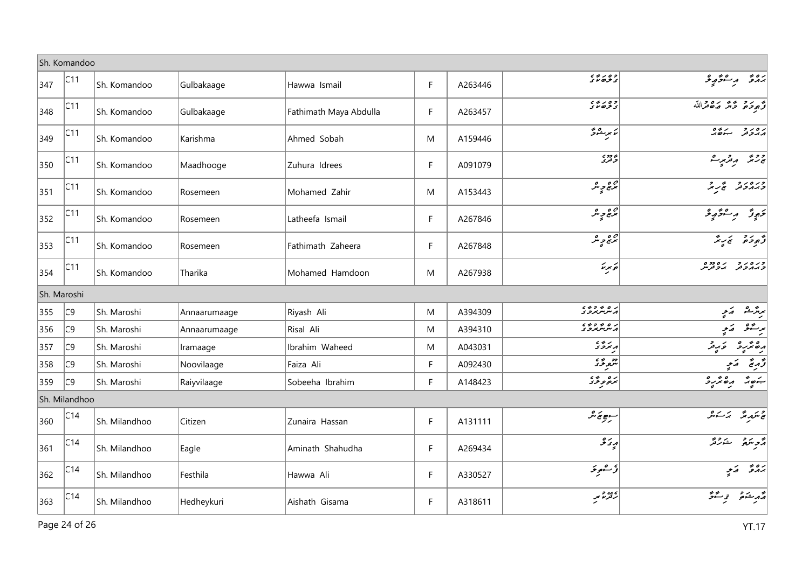|             | Sh. Komandoo  |               |              |                        |           |         |                                                |                                             |
|-------------|---------------|---------------|--------------|------------------------|-----------|---------|------------------------------------------------|---------------------------------------------|
| 347         | C11           | Sh. Komandoo  | Gulbakaage   | Hawwa Ismail           | F         | A263446 | و ه ر پر پر<br>د <del>ن</del> رحه تر د         | برە ئەستۇرى                                 |
| 348         | C11           | Sh. Komandoo  | Gulbakaage   | Fathimath Maya Abdulla | F         | A263457 | وه ر پر د<br>د <del>ن</del> ره مړ              | وتجوحر والحمر والهامية                      |
| 349         | C11           | Sh. Komandoo  | Karishma     | Ahmed Sobah            | M         | A159446 | ر<br>ئەيرىشە <del>ر</del>                      | ره رو بروه                                  |
| 350         | C11           | Sh. Komandoo  | Maadhooge    | Zuhura Idrees          | F         | A091079 | ۶۶۶ بر<br>تر تر پ                              | چر <i>تر پر م</i> رتریت<br>این مرکز مر      |
| 351         | C11           | Sh. Komandoo  | Rosemeen     | Mohamed Zahir          | ${\sf M}$ | A153443 | ە ە<br>ئىرىج ج <sub>ە</sub> شر                 | وره رو په د                                 |
| 352         | C11           | Sh. Komandoo  | Rosemeen     | Latheefa Ismail        | F         | A267846 | ە ە چە چە ئىر                                  | ەرسىۋەپەيج<br>خبج تر                        |
| 353         | C11           | Sh. Komandoo  | Rosemeen     | Fathimath Zaheera      | F         | A267848 | ە ە چە چە ئىگە<br>مۇيىچو ئىگر                  | ژُودَهُ کارِنڈ                              |
| 354         | C11           | Sh. Komandoo  | Tharika      | Mohamed Hamdoon        | M         | A267938 | ځويرمَ                                         | وره رو در ره دوه<br><i>د بر مرح بر در</i> س |
| Sh. Maroshi |               |               |              |                        |           |         |                                                |                                             |
| 355         | C9            | Sh. Maroshi   | Annaarumaage | Riyash Ali             | M         | A394309 | ر ۵ ۶ ۶ ۶ و.<br>مرس سربر <del>ر</del> ۶        | برژ شهر                                     |
| 356         | C9            | Sh. Maroshi   | Annaarumaage | Risal Ali              | M         | A394310 | ر ه ۶ و ۶ و<br>د سرسربرو د                     | $\frac{1}{2}$                               |
| 357         | C9            | Sh. Maroshi   | Iramaage     | Ibrahim Waheed         | M         | A043031 | د بر و ،<br>د برگ                              |                                             |
| 358         | C9            | Sh. Maroshi   | Noovilaage   | Faiza Ali              | F         | A092430 | دو په په<br>سر <sub>گو</sub> پوځو <sub>ک</sub> | وٌمريح المرمو                               |
| 359         | C9            | Sh. Maroshi   | Raiyvilaage  | Sobeeha Ibrahim        | F         | A148423 | ىرە <sub>م</sub> وردى                          | ەھ ئۆر ۋ<br>بنوء                            |
|             | Sh. Milandhoo |               |              |                        |           |         |                                                |                                             |
| 360         | C14           | Sh. Milandhoo | Citizen      | Zunaira Hassan         | F         | A131111 | سوءِ پڻر                                       | ىم سَرىر ئەسكەش                             |
| 361         | C14           | Sh. Milandhoo | Eagle        | Aminath Shahudha       | F         | A269434 | ويحو                                           | رشتە تەر<br>ړ د سرچ                         |
| 362         | C14           | Sh. Milandhoo | Festhila     | Hawwa Ali              | F         | A330527 | ۇ شەھ چَر                                      | پره په په په                                |
| 363         | C14           | Sh. Milandhoo | Hedheykuri   | Aishath Gisama         | F         | A318611 | ہ دے ج<br>  مرفوما مو                          | وأمر شكافح المحافظ والمتفرق                 |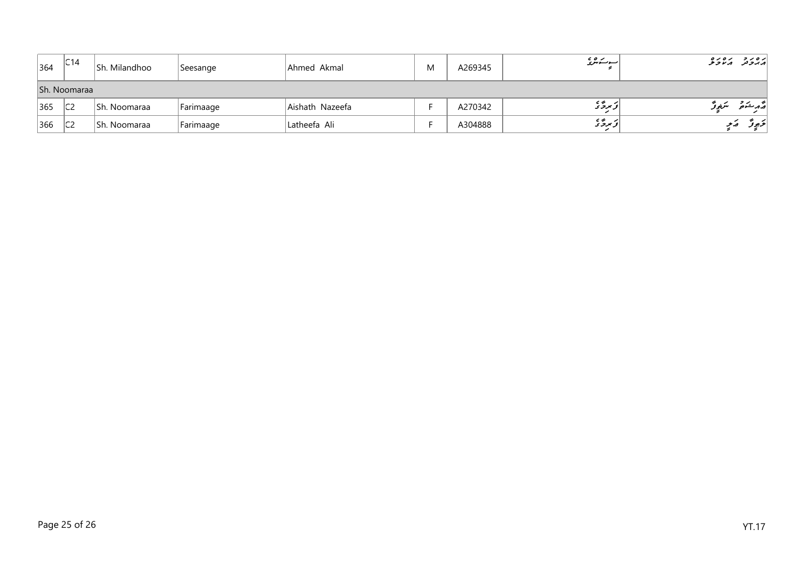| 364           | C14            | <b>Sh. Milandhoo</b> | Seesange  | Ahmed Akmal     | M | A269345 | سەسەھەيج                  | برە ئەبى<br>  پر ۹ ر و |
|---------------|----------------|----------------------|-----------|-----------------|---|---------|---------------------------|------------------------|
|               | Sh. Noomaraa   |                      |           |                 |   |         |                           |                        |
| $ 365\rangle$ | C <sub>2</sub> | Sh. Noomaraa         | Farimaage | Aishath Nazeefa |   | A270342 | ر<br>تو بررگ <sup>ی</sup> | پژپر شتمو<br>سرەرتز    |
| 366           | C <sub>2</sub> | Sh. Noomaraa         | Farimaage | Latheefa Ali    |   | A304888 | ىز بىر ئ <sup>ى</sup> ي   | مَرْجِ تَرُ<br>در و    |